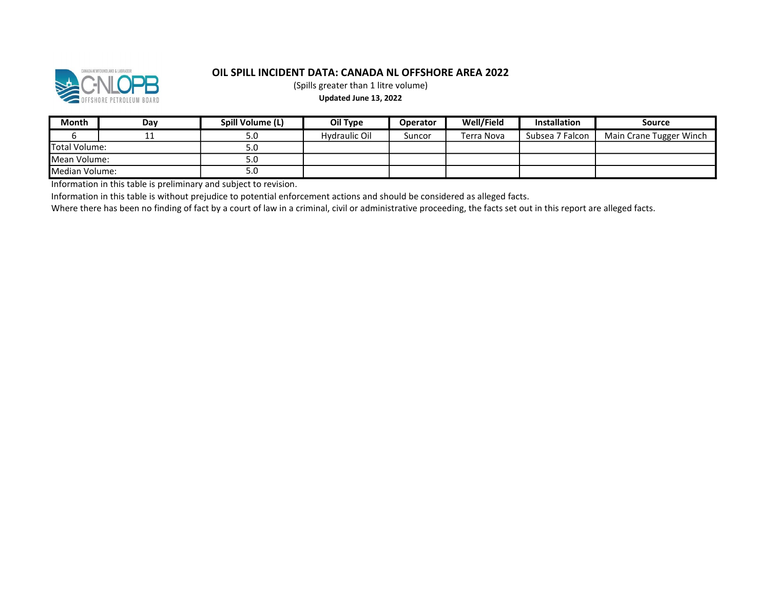

(Spills greater than 1 litre volume)

#### Updated June 13, 2022

| Month           | Dav | Spill Volume (L) | Oil Type      | <b>Operator</b> | Well/Field | <b>Installation</b> | Source                  |
|-----------------|-----|------------------|---------------|-----------------|------------|---------------------|-------------------------|
|                 | ᆠᆠ  | 5.0              | Hydraulic Oil | Suncor          | Terra Nova | Subsea 7 Falcon     | Main Crane Tugger Winch |
| Total Volume:   |     | 5.0              |               |                 |            |                     |                         |
| Mean Volume:    |     | 5.0              |               |                 |            |                     |                         |
| lMedian Volume: |     | 5.0              |               |                 |            |                     |                         |

Information in this table is preliminary and subject to revision.

Information in this table is without prejudice to potential enforcement actions and should be considered as alleged facts.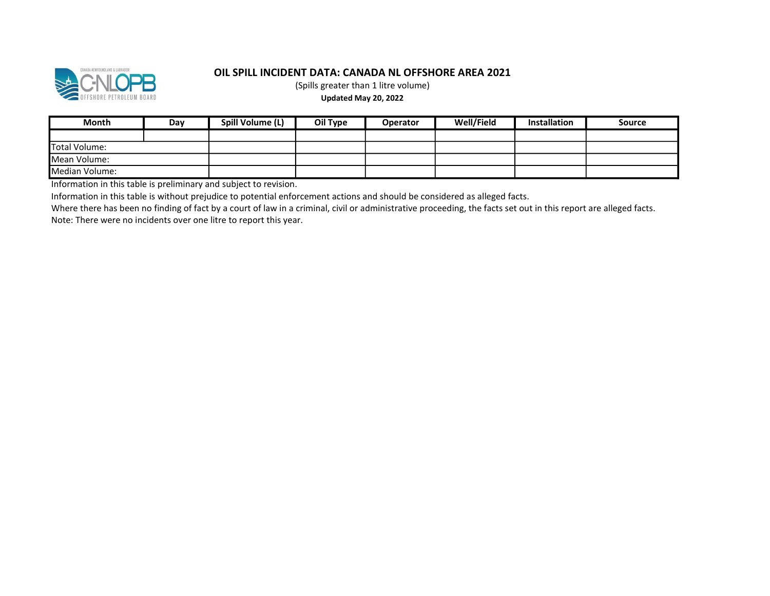

(Spills greater than 1 litre volume)

#### Updated May 20, 2022

| <b>Month</b>   | Day | Spill Volume (L) | Oil Type | <b>Operator</b> | Well/Field | <b>Installation</b> | Source |
|----------------|-----|------------------|----------|-----------------|------------|---------------------|--------|
|                |     |                  |          |                 |            |                     |        |
| Total Volume:  |     |                  |          |                 |            |                     |        |
| Mean Volume:   |     |                  |          |                 |            |                     |        |
| Median Volume: |     |                  |          |                 |            |                     |        |

Information in this table is preliminary and subject to revision.

Information in this table is without prejudice to potential enforcement actions and should be considered as alleged facts.

Where there has been no finding of fact by a court of law in a criminal, civil or administrative proceeding, the facts set out in this report are alleged facts. Note: There were no incidents over one litre to report this year.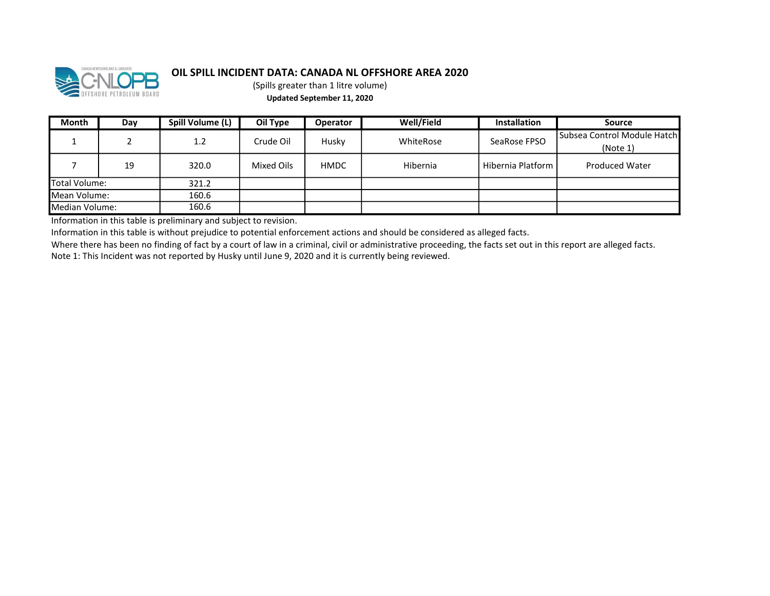

(Spills greater than 1 litre volume) Updated September 11, 2020

| <b>Month</b>   | Day | Spill Volume (L) | Oil Type   | <b>Operator</b> | Well/Field | <b>Installation</b> | Source                                     |
|----------------|-----|------------------|------------|-----------------|------------|---------------------|--------------------------------------------|
|                |     | 1.2              | Crude Oil  | Husky           | WhiteRose  | SeaRose FPSO        | l Subsea Control Module Hatchl<br>(Note 1) |
|                | 19  | 320.0            | Mixed Oils | <b>HMDC</b>     | Hibernia   | Hibernia Platform   | <b>Produced Water</b>                      |
| Total Volume:  |     | 321.2            |            |                 |            |                     |                                            |
| Mean Volume:   |     | 160.6            |            |                 |            |                     |                                            |
| Median Volume: |     | 160.6            |            |                 |            |                     |                                            |

Information in this table is preliminary and subject to revision.

Information in this table is without prejudice to potential enforcement actions and should be considered as alleged facts.

Where there has been no finding of fact by a court of law in a criminal, civil or administrative proceeding, the facts set out in this report are alleged facts.

Note 1: This Incident was not reported by Husky until June 9, 2020 and it is currently being reviewed.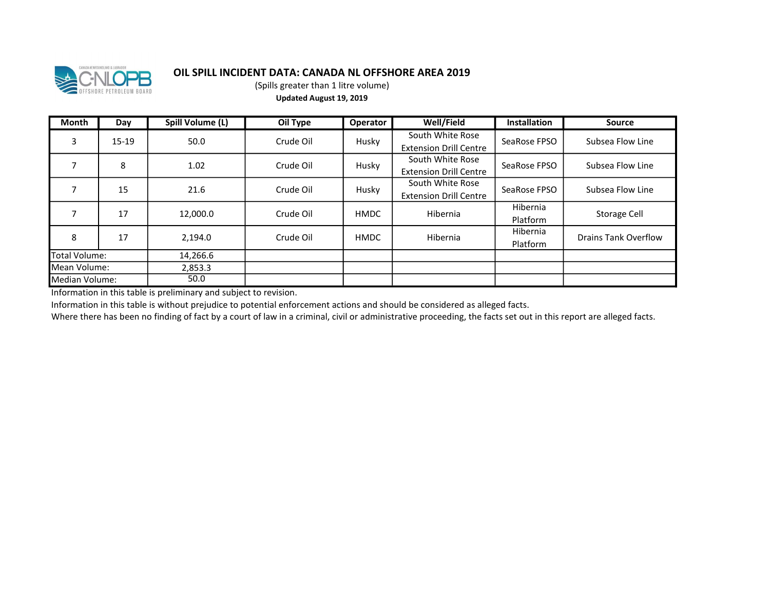

(Spills greater than 1 litre volume) Updated August 19, 2019

| <b>Month</b>   | Day     | Spill Volume (L) | Oil Type  | Operator    | Well/Field                    | <b>Installation</b> | <b>Source</b>        |  |
|----------------|---------|------------------|-----------|-------------|-------------------------------|---------------------|----------------------|--|
| 3              | $15-19$ | 50.0             | Crude Oil | Husky       | South White Rose              | SeaRose FPSO        | Subsea Flow Line     |  |
|                |         |                  |           |             | <b>Extension Drill Centre</b> |                     |                      |  |
|                | 8       | 1.02             | Crude Oil | Husky       | South White Rose              | SeaRose FPSO        | Subsea Flow Line     |  |
|                |         |                  |           |             | <b>Extension Drill Centre</b> |                     |                      |  |
|                | 15      | 21.6             | Crude Oil | Husky       | South White Rose              | SeaRose FPSO        | Subsea Flow Line     |  |
|                |         |                  |           |             | <b>Extension Drill Centre</b> |                     |                      |  |
|                | 17      | 12,000.0         | Crude Oil | <b>HMDC</b> | Hibernia                      | Hibernia            | Storage Cell         |  |
|                |         |                  |           |             |                               | Platform            |                      |  |
| 8              | 17      | 2,194.0          | Crude Oil | <b>HMDC</b> | Hibernia                      | Hibernia            | Drains Tank Overflow |  |
|                |         |                  |           |             |                               | Platform            |                      |  |
| Total Volume:  |         | 14,266.6         |           |             |                               |                     |                      |  |
| Mean Volume:   |         | 2,853.3          |           |             |                               |                     |                      |  |
| Median Volume: |         | 50.0             |           |             |                               |                     |                      |  |

Information in this table is preliminary and subject to revision.

Information in this table is without prejudice to potential enforcement actions and should be considered as alleged facts.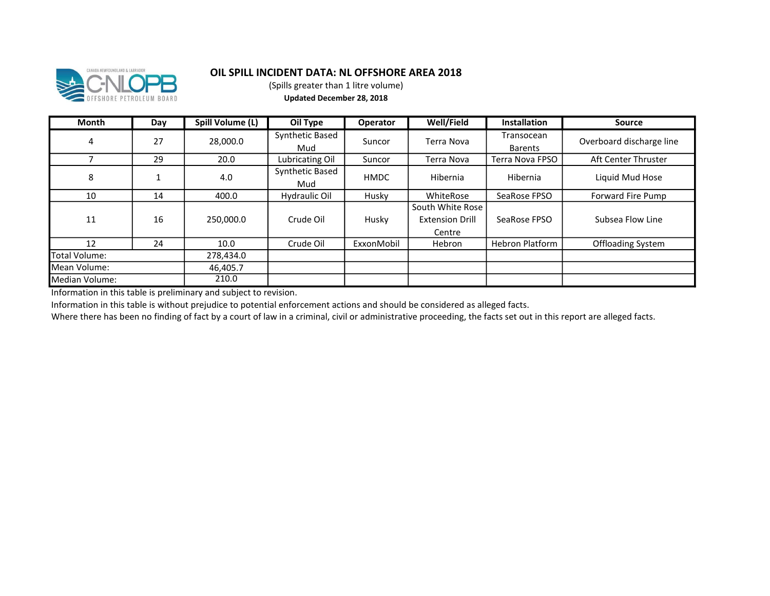

(Spills greater than 1 litre volume) Updated December 28, 2018

| Month          | Day | Spill Volume (L) | Oil Type               | <b>Operator</b> | Well/Field                                           | <b>Installation</b>          | <b>Source</b>            |
|----------------|-----|------------------|------------------------|-----------------|------------------------------------------------------|------------------------------|--------------------------|
| $\overline{4}$ | 27  | 28,000.0         | Synthetic Based<br>Mud | Suncor          | Terra Nova                                           | Transocean<br><b>Barents</b> | Overboard discharge line |
|                | 29  | 20.0             | Lubricating Oil        | Suncor          | Terra Nova                                           | Terra Nova FPSO              | Aft Center Thruster      |
| 8              |     | 4.0              | Synthetic Based<br>Mud | <b>HMDC</b>     | Hibernia                                             | Hibernia                     | Liquid Mud Hose          |
| 10             | 14  | 400.0            | Hydraulic Oil          | Husky           | WhiteRose                                            | SeaRose FPSO                 | Forward Fire Pump        |
| 11             | 16  | 250,000.0        | Crude Oil              | Husky           | South White Rose<br><b>Extension Drill</b><br>Centre | SeaRose FPSO                 | Subsea Flow Line         |
| 12             | 24  | 10.0             | Crude Oil              | ExxonMobil      | Hebron                                               | <b>Hebron Platform</b>       | Offloading System        |
| Total Volume:  |     | 278,434.0        |                        |                 |                                                      |                              |                          |
| Mean Volume:   |     | 46,405.7         |                        |                 |                                                      |                              |                          |
| Median Volume: |     | 210.0            |                        |                 |                                                      |                              |                          |

Information in this table is preliminary and subject to revision.

Information in this table is without prejudice to potential enforcement actions and should be considered as alleged facts.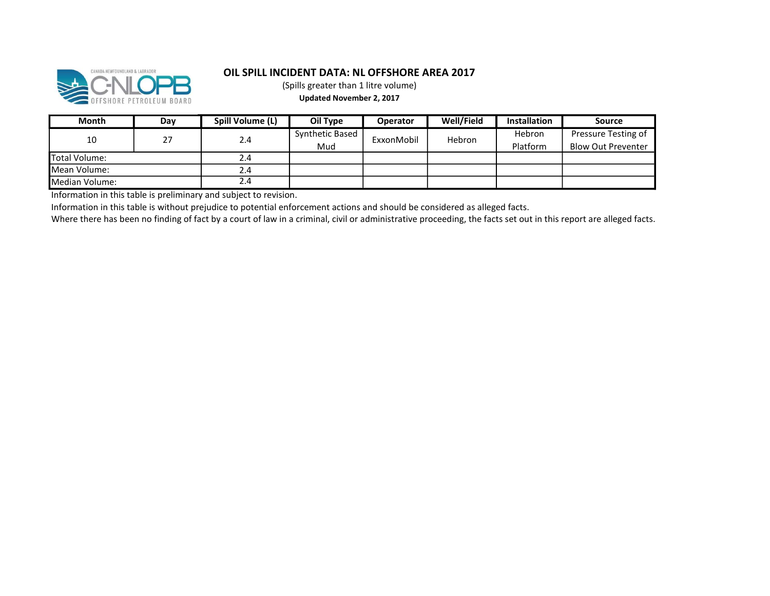

(Spills greater than 1 litre volume)

Updated November 2, 2017

| Month          | Day | Spill Volume (L) | Oil Type        | <b>Operator</b> | Well/Field | <b>Installation</b> | Source                    |
|----------------|-----|------------------|-----------------|-----------------|------------|---------------------|---------------------------|
| 10             | 27  |                  | Synthetic Based | ExxonMobil      | Hebron     | <b>Hebron</b>       | Pressure Testing of       |
|                |     | 2.4              | Mud             |                 |            | Platform            | <b>Blow Out Preventer</b> |
| Total Volume:  |     | 2.4              |                 |                 |            |                     |                           |
| Mean Volume:   |     | 2.4              |                 |                 |            |                     |                           |
| Median Volume: |     | 2.4              |                 |                 |            |                     |                           |

Information in this table is preliminary and subject to revision.

Information in this table is without prejudice to potential enforcement actions and should be considered as alleged facts.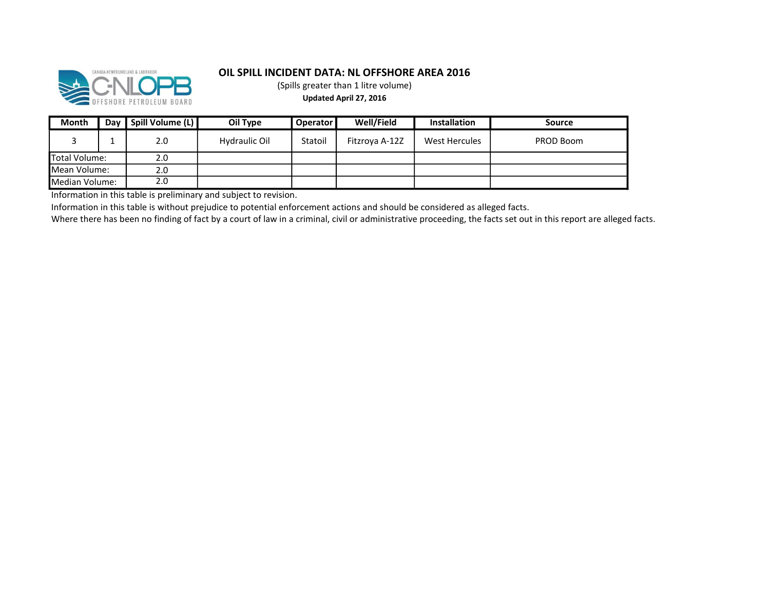

(Spills greater than 1 litre volume) Updated April 27, 2016

| <b>Month</b>   | Dav | Spill Volume (L) | Oil Type      | <b>Operator</b> | Well/Field     | <b>Installation</b> | Source    |
|----------------|-----|------------------|---------------|-----------------|----------------|---------------------|-----------|
|                |     | 2.0              | Hydraulic Oil | Statoil         | Fitzroya A-12Z | West Hercules       | PROD Boom |
| Total Volume:  |     | 2.0              |               |                 |                |                     |           |
| lMean Volume:  |     | 2.0              |               |                 |                |                     |           |
| Median Volume: |     | 2.0              |               |                 |                |                     |           |

Information in this table is preliminary and subject to revision.

Information in this table is without prejudice to potential enforcement actions and should be considered as alleged facts.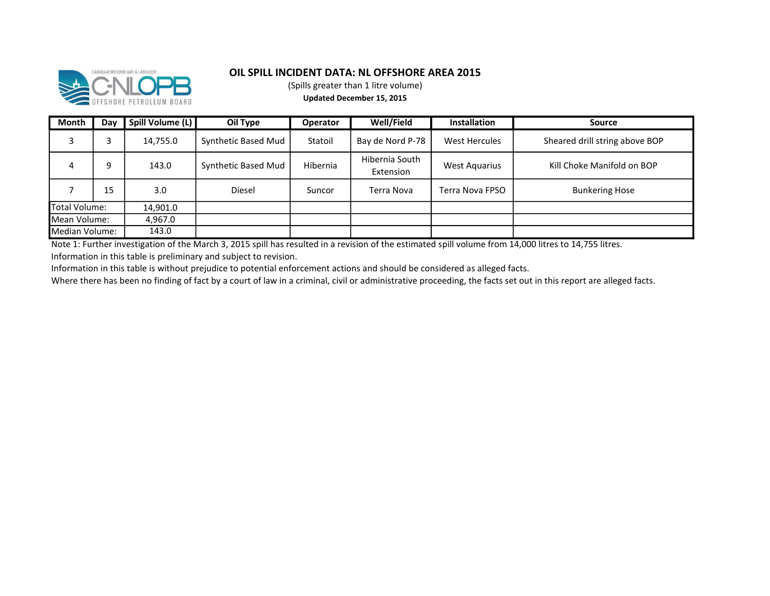

(Spills greater than 1 litre volume)

Updated December 15, 2015

| Month          | Day | Spill Volume (L) | Oil Type            | <b>Operator</b> | Well/Field                  | <b>Installation</b>  | <b>Source</b>                  |
|----------------|-----|------------------|---------------------|-----------------|-----------------------------|----------------------|--------------------------------|
|                |     | 14,755.0         | Synthetic Based Mud | Statoil         | Bay de Nord P-78            | West Hercules        | Sheared drill string above BOP |
| 4              | 9   | 143.0            | Synthetic Based Mud | Hibernia        | Hibernia South<br>Extension | <b>West Aquarius</b> | Kill Choke Manifold on BOP     |
|                | 15  | 3.0              | Diesel              | Suncor          | Terra Nova                  | Terra Nova FPSO      | <b>Bunkering Hose</b>          |
| Total Volume:  |     | 14,901.0         |                     |                 |                             |                      |                                |
| Mean Volume:   |     | 4,967.0          |                     |                 |                             |                      |                                |
| Median Volume: |     | 143.0            |                     |                 |                             |                      |                                |

Note 1: Further investigation of the March 3, 2015 spill has resulted in a revision of the estimated spill volume from 14,000 litres to 14,755 litres.

Information in this table is preliminary and subject to revision.

Information in this table is without prejudice to potential enforcement actions and should be considered as alleged facts.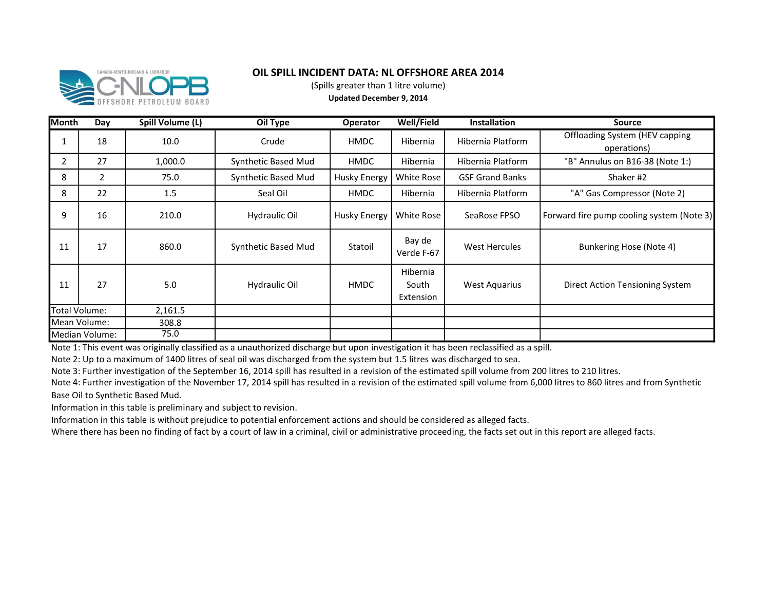

(Spills greater than 1 litre volume)

Updated December 9, 2014

| <b>Month</b> | Day            | Spill Volume (L) | Oil Type            | <b>Operator</b>     | <b>Well/Field</b>              | Installation           | <b>Source</b>                                        |
|--------------|----------------|------------------|---------------------|---------------------|--------------------------------|------------------------|------------------------------------------------------|
| 1            | 18             | 10.0             | Crude               | HMDC                | Hibernia                       | Hibernia Platform      | <b>Offloading System (HEV capping</b><br>operations) |
| 2            | 27             | 1,000.0          | Synthetic Based Mud | HMDC                | Hibernia                       | Hibernia Platform      | "B" Annulus on B16-38 (Note 1:)                      |
| 8            | 2              | 75.0             | Synthetic Based Mud | <b>Husky Energy</b> | White Rose                     | <b>GSF Grand Banks</b> | Shaker #2                                            |
| 8            | 22             | 1.5              | Seal Oil            | HMDC                | Hibernia                       | Hibernia Platform      | "A" Gas Compressor (Note 2)                          |
| 9            | 16             | 210.0            | Hydraulic Oil       | <b>Husky Energy</b> | White Rose                     | SeaRose FPSO           | Forward fire pump cooling system (Note 3)            |
| 11           | 17             | 860.0            | Synthetic Based Mud | Statoil             | Bay de<br>Verde F-67           | West Hercules          | Bunkering Hose (Note 4)                              |
| 11           | 27             | 5.0              | Hydraulic Oil       | <b>HMDC</b>         | Hibernia<br>South<br>Extension | <b>West Aquarius</b>   | Direct Action Tensioning System                      |
|              | Total Volume:  | 2,161.5          |                     |                     |                                |                        |                                                      |
|              | Mean Volume:   | 308.8            |                     |                     |                                |                        |                                                      |
|              | Median Volume: | 75.0             |                     |                     |                                |                        |                                                      |

Note 1: This event was originally classified as a unauthorized discharge but upon investigation it has been reclassified as a spill.

Note 2: Up to a maximum of 1400 litres of seal oil was discharged from the system but 1.5 litres was discharged to sea.

Note 3: Further investigation of the September 16, 2014 spill has resulted in a revision of the estimated spill volume from 200 litres to 210 litres.

Note 4: Further investigation of the November 17, 2014 spill has resulted in a revision of the estimated spill volume from 6,000 litres to 860 litres and from Synthetic Base Oil to Synthetic Based Mud.

Information in this table is preliminary and subject to revision.

Information in this table is without prejudice to potential enforcement actions and should be considered as alleged facts.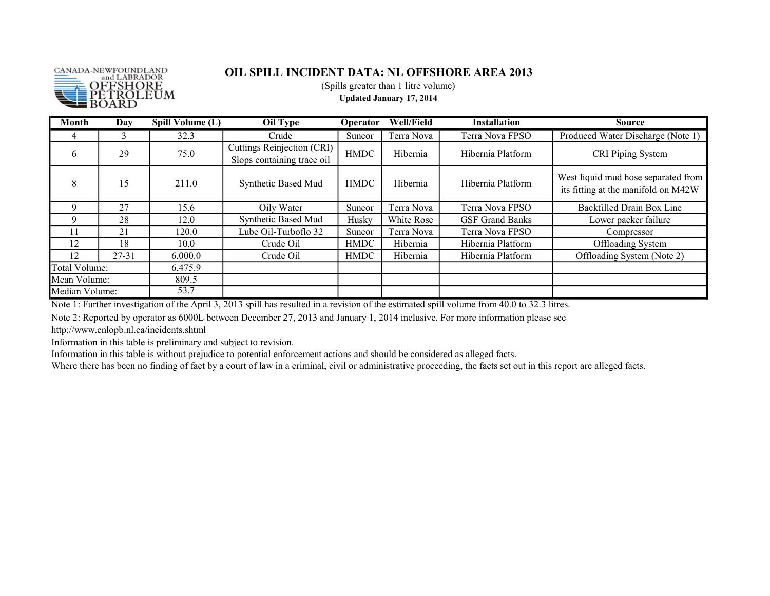

(Spills greater than 1 litre volume)

Updated January 17, 2014

| <b>Month</b>   | Day       | Spill Volume (L) | <b>Oil Type</b>                                          | Operator    | Well/Field | <b>Installation</b>    | <b>Source</b>                                                              |
|----------------|-----------|------------------|----------------------------------------------------------|-------------|------------|------------------------|----------------------------------------------------------------------------|
| 4              | 3         | 32.3             | Crude                                                    | Suncor      | Terra Nova | Terra Nova FPSO        | Produced Water Discharge (Note 1)                                          |
| 6              | 29        | 75.0             | Cuttings Reinjection (CRI)<br>Slops containing trace oil | <b>HMDC</b> | Hibernia   | Hibernia Platform      | CRI Piping System                                                          |
| 8              | 15        | 211.0            | Synthetic Based Mud                                      | <b>HMDC</b> | Hibernia   | Hibernia Platform      | West liquid mud hose separated from<br>its fitting at the manifold on M42W |
| $\mathbf Q$    | 27        | 15.6             | Oily Water                                               | Suncor      | Terra Nova | Terra Nova FPSO        | Backfilled Drain Box Line                                                  |
| 9              | 28        | 12.0             | Synthetic Based Mud                                      | Husky       | White Rose | <b>GSF Grand Banks</b> | Lower packer failure                                                       |
| 11             | 21        | 120.0            | Lube Oil-Turboflo 32                                     | Suncor      | Terra Nova | Terra Nova FPSO        | Compressor                                                                 |
| 12             | 18        | 10.0             | Crude Oil                                                | <b>HMDC</b> | Hibernia   | Hibernia Platform      | Offloading System                                                          |
| 12             | $27 - 31$ | 6,000.0          | Crude Oil                                                | <b>HMDC</b> | Hibernia   | Hibernia Platform      | Offloading System (Note 2)                                                 |
| Total Volume:  |           | 6,475.9          |                                                          |             |            |                        |                                                                            |
| Mean Volume:   |           | 809.5            |                                                          |             |            |                        |                                                                            |
| Median Volume: |           | 53.7             |                                                          |             |            |                        |                                                                            |

Note 1: Further investigation of the April 3, 2013 spill has resulted in a revision of the estimated spill volume from 40.0 to 32.3 litres.

Note 2: Reported by operator as 6000L between December 27, 2013 and January 1, 2014 inclusive. For more information please see http://www.cnlopb.nl.ca/incidents.shtml

Information in this table is preliminary and subject to revision.

Information in this table is without prejudice to potential enforcement actions and should be considered as alleged facts.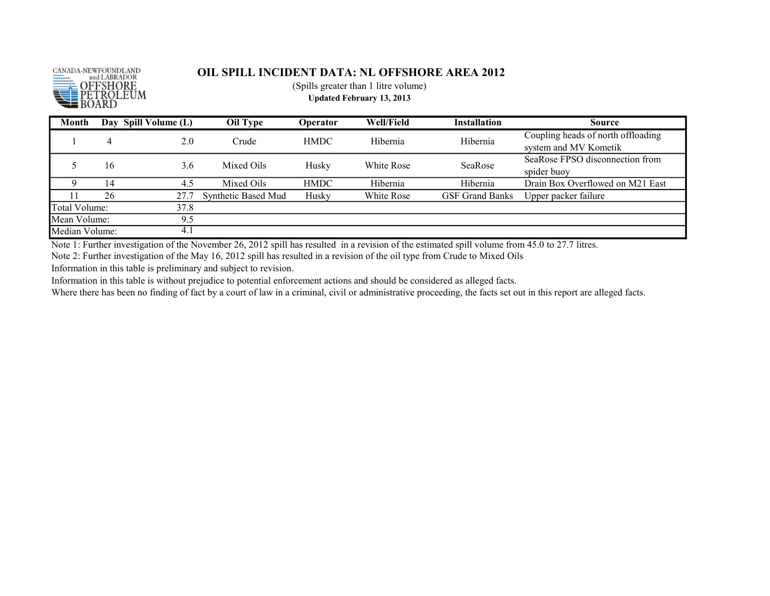

(Spills greater than 1 litre volume)

Updated February 13, 2013

| Month          |    | Day Spill Volume (L) | Oil Type            | <b>Operator</b> | Well/Field | <b>Installation</b>    | <b>Source</b>                      |
|----------------|----|----------------------|---------------------|-----------------|------------|------------------------|------------------------------------|
|                | 4  |                      | Crude               | <b>HMDC</b>     | Hibernia   | Hibernia               | Coupling heads of north offloading |
|                |    | 2.0                  |                     |                 |            |                        | system and MV Kometik              |
|                | 16 | 3.6                  | Mixed Oils          | Husky           | White Rose | SeaRose                | SeaRose FPSO disconnection from    |
|                |    |                      |                     |                 |            |                        | spider buov                        |
|                | 14 | 4.5                  | Mixed Oils          | <b>HMDC</b>     | Hibernia   | Hibernia               | Drain Box Overflowed on M21 East   |
|                | 26 | 27.7                 | Synthetic Based Mud | Husky           | White Rose | <b>GSF Grand Banks</b> | Upper packer failure               |
| Total Volume:  |    | 37.8                 |                     |                 |            |                        |                                    |
| Mean Volume:   |    | 9.5                  |                     |                 |            |                        |                                    |
| Median Volume: |    | 4.1                  |                     |                 |            |                        |                                    |

Note 1: Further investigation of the November 26, 2012 spill has resulted in a revision of the estimated spill volume from 45.0 to 27.7 litres.

Note 2: Further investigation of the May 16, 2012 spill has resulted in a revision of the oil type from Crude to Mixed Oils

Information in this table is preliminary and subject to revision.

Information in this table is without prejudice to potential enforcement actions and should be considered as alleged facts.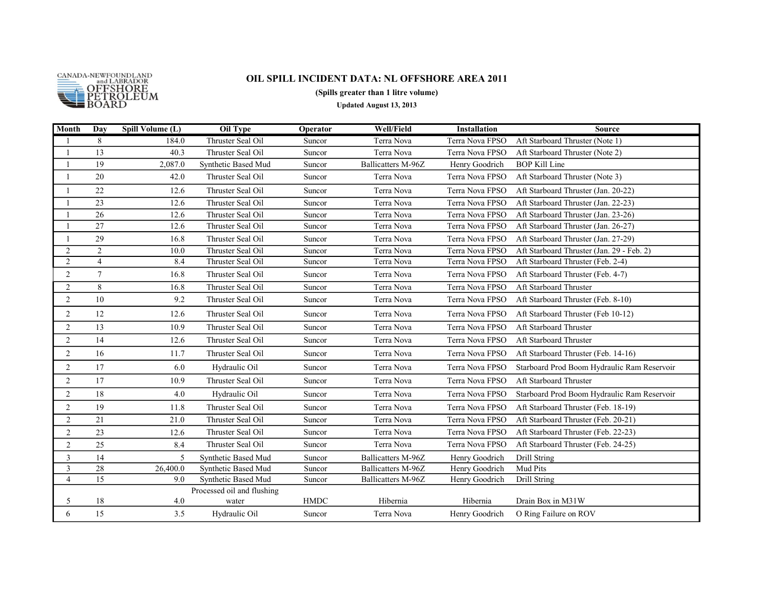

#### (Spills greater than 1 litre volume)

Updated August 13, 2013

| Month          | Day            | Spill Volume (L) | <b>Oil Type</b>            | Operator    | <b>Well/Field</b>  | <b>Installation</b> | <b>Source</b>                               |
|----------------|----------------|------------------|----------------------------|-------------|--------------------|---------------------|---------------------------------------------|
|                | 8              | 184.0            | Thruster Seal Oil          | Suncor      | Terra Nova         | Terra Nova FPSO     | Aft Starboard Thruster (Note 1)             |
| $\mathbf{1}$   | 13             | 40.3             | Thruster Seal Oil          | Suncor      | Terra Nova         | Terra Nova FPSO     | Aft Starboard Thruster (Note 2)             |
|                | 19             | 2,087.0          | Synthetic Based Mud        | Suncor      | Ballicatters M-96Z | Henry Goodrich      | <b>BOP Kill Line</b>                        |
|                | 20             | 42.0             | Thruster Seal Oil          | Suncor      | Terra Nova         | Terra Nova FPSO     | Aft Starboard Thruster (Note 3)             |
|                | 22             | 12.6             | Thruster Seal Oil          | Suncor      | Terra Nova         | Terra Nova FPSO     | Aft Starboard Thruster (Jan. 20-22)         |
|                | 23             | 12.6             | Thruster Seal Oil          | Suncor      | Terra Nova         | Terra Nova FPSO     | Aft Starboard Thruster (Jan. 22-23)         |
|                | 26             | 12.6             | Thruster Seal Oil          | Suncor      | Terra Nova         | Terra Nova FPSO     | Aft Starboard Thruster (Jan. 23-26)         |
| $\overline{1}$ | 27             | 12.6             | Thruster Seal Oil          | Suncor      | Terra Nova         | Terra Nova FPSO     | Aft Starboard Thruster (Jan. 26-27)         |
|                | 29             | 16.8             | Thruster Seal Oil          | Suncor      | Terra Nova         | Terra Nova FPSO     | Aft Starboard Thruster (Jan. 27-29)         |
| $\overline{2}$ | $\overline{2}$ | 10.0             | Thruster Seal Oil          | Suncor      | Terra Nova         | Terra Nova FPSO     | Aft Starboard Thruster (Jan. 29 - Feb. 2)   |
| $\overline{2}$ | $\overline{4}$ | 8.4              | Thruster Seal Oil          | Suncor      | Terra Nova         | Terra Nova FPSO     | Aft Starboard Thruster (Feb. 2-4)           |
| $\overline{2}$ | $\tau$         | 16.8             | Thruster Seal Oil          | Suncor      | Terra Nova         | Terra Nova FPSO     | Aft Starboard Thruster (Feb. 4-7)           |
| $\overline{2}$ | 8              | 16.8             | Thruster Seal Oil          | Suncor      | Terra Nova         | Terra Nova FPSO     | Aft Starboard Thruster                      |
| $\overline{2}$ | 10             | 9.2              | Thruster Seal Oil          | Suncor      | Terra Nova         | Terra Nova FPSO     | Aft Starboard Thruster (Feb. 8-10)          |
| $\overline{2}$ | 12             | 12.6             | Thruster Seal Oil          | Suncor      | Terra Nova         | Terra Nova FPSO     | Aft Starboard Thruster (Feb 10-12)          |
| $\overline{2}$ | 13             | 10.9             | Thruster Seal Oil          | Suncor      | Terra Nova         | Terra Nova FPSO     | Aft Starboard Thruster                      |
| $\overline{2}$ | 14             | 12.6             | Thruster Seal Oil          | Suncor      | Terra Nova         | Terra Nova FPSO     | Aft Starboard Thruster                      |
| $\overline{2}$ | 16             | 11.7             | Thruster Seal Oil          | Suncor      | Terra Nova         | Terra Nova FPSO     | Aft Starboard Thruster (Feb. 14-16)         |
| $\overline{2}$ | 17             | 6.0              | Hydraulic Oil              | Suncor      | Terra Nova         | Terra Nova FPSO     | Starboard Prod Boom Hydraulic Ram Reservoir |
| $\overline{2}$ | 17             | 10.9             | Thruster Seal Oil          | Suncor      | Terra Nova         | Terra Nova FPSO     | Aft Starboard Thruster                      |
| $\overline{c}$ | 18             | 4.0              | Hydraulic Oil              | Suncor      | Terra Nova         | Terra Nova FPSO     | Starboard Prod Boom Hydraulic Ram Reservoir |
| $\overline{2}$ | 19             | 11.8             | Thruster Seal Oil          | Suncor      | Terra Nova         | Terra Nova FPSO     | Aft Starboard Thruster (Feb. 18-19)         |
| $\overline{c}$ | 21             | 21.0             | Thruster Seal Oil          | Suncor      | Terra Nova         | Terra Nova FPSO     | Aft Starboard Thruster (Feb. 20-21)         |
| $\overline{2}$ | 23             | 12.6             | Thruster Seal Oil          | Suncor      | Terra Nova         | Terra Nova FPSO     | Aft Starboard Thruster (Feb. 22-23)         |
| $\overline{2}$ | 25             | 8.4              | Thruster Seal Oil          | Suncor      | Terra Nova         | Terra Nova FPSO     | Aft Starboard Thruster (Feb. 24-25)         |
| $\mathfrak{Z}$ | 14             | 5                | Synthetic Based Mud        | Suncor      | Ballicatters M-96Z | Henry Goodrich      | Drill String                                |
| $\overline{3}$ | 28             | 26,400.0         | Synthetic Based Mud        | Suncor      | Ballicatters M-96Z | Henry Goodrich      | Mud Pits                                    |
| $\overline{4}$ | 15             | 9.0              | Synthetic Based Mud        | Suncor      | Ballicatters M-96Z | Henry Goodrich      | Drill String                                |
|                |                |                  | Processed oil and flushing |             |                    |                     |                                             |
| 5              | 18             | 4.0              | water                      | <b>HMDC</b> | Hibernia           | Hibernia            | Drain Box in M31W                           |
| 6              | 15             | 3.5              | Hydraulic Oil              | Suncor      | Terra Nova         | Henry Goodrich      | O Ring Failure on ROV                       |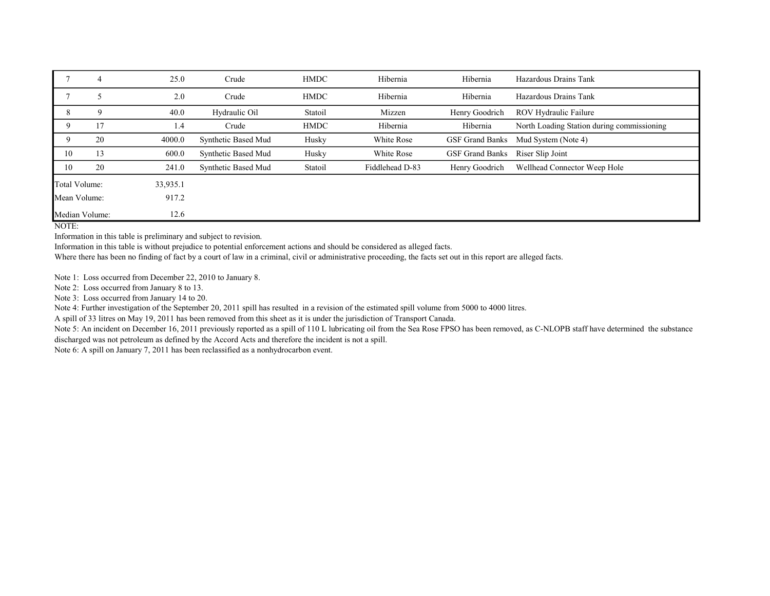|                | 4  | 25.0     | Crude               | <b>HMDC</b> | Hibernia        | Hibernia               | Hazardous Drains Tank                      |
|----------------|----|----------|---------------------|-------------|-----------------|------------------------|--------------------------------------------|
|                |    | 2.0      | Crude               | <b>HMDC</b> | Hibernia        | Hibernia               | Hazardous Drains Tank                      |
| 8              | Q  | 40.0     | Hydraulic Oil       | Statoil     | Mizzen          | Henry Goodrich         | ROV Hydraulic Failure                      |
| 9              | 17 | 1.4      | Crude               | <b>HMDC</b> | Hibernia        | Hibernia               | North Loading Station during commissioning |
| 9              | 20 | 4000.0   | Synthetic Based Mud | Husky       | White Rose      | <b>GSF Grand Banks</b> | Mud System (Note 4)                        |
| 10             | 13 | 600.0    | Synthetic Based Mud | Husky       | White Rose      | <b>GSF Grand Banks</b> | Riser Slip Joint                           |
| 10             | 20 | 241.0    | Synthetic Based Mud | Statoil     | Fiddlehead D-83 | Henry Goodrich         | Wellhead Connector Weep Hole               |
| Total Volume:  |    | 33,935.1 |                     |             |                 |                        |                                            |
| Mean Volume:   |    | 917.2    |                     |             |                 |                        |                                            |
| Median Volume: |    | 12.6     |                     |             |                 |                        |                                            |

NOTE:

Information in this table is preliminary and subject to revision.

Information in this table is without prejudice to potential enforcement actions and should be considered as alleged facts.

Where there has been no finding of fact by a court of law in a criminal, civil or administrative proceeding, the facts set out in this report are alleged facts.

Note 1: Loss occurred from December 22, 2010 to January 8.

Note 2: Loss occurred from January 8 to 13.

Note 3: Loss occurred from January 14 to 20.

Note 4: Further investigation of the September 20, 2011 spill has resulted in a revision of the estimated spill volume from 5000 to 4000 litres.

A spill of 33 litres on May 19, 2011 has been removed from this sheet as it is under the jurisdiction of Transport Canada.

Note 5: An incident on December 16, 2011 previously reported as a spill of 110 L lubricating oil from the Sea Rose FPSO has been removed, as C-NLOPB staff have determined the substance discharged was not petroleum as defined by the Accord Acts and therefore the incident is not a spill.

Note 6: A spill on January 7, 2011 has been reclassified as a nonhydrocarbon event.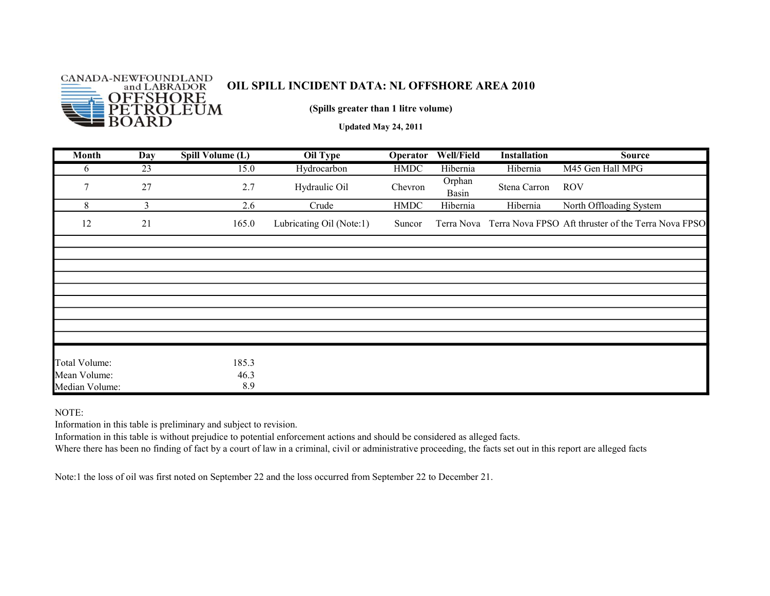

(Spills greater than 1 litre volume)

Updated May 24, 2011

| <b>Month</b>                  | Day | Spill Volume (L) | Oil Type                 | Operator    | Well/Field      | Installation | <b>Source</b>                                                  |
|-------------------------------|-----|------------------|--------------------------|-------------|-----------------|--------------|----------------------------------------------------------------|
| 6                             | 23  | 15.0             | Hydrocarbon              | <b>HMDC</b> | Hibernia        | Hibernia     | M45 Gen Hall MPG                                               |
| 7                             | 27  | 2.7              | Hydraulic Oil            | Chevron     | Orphan<br>Basin | Stena Carron | <b>ROV</b>                                                     |
| 8                             | 3   | 2.6              | Crude                    | <b>HMDC</b> | Hibernia        | Hibernia     | North Offloading System                                        |
| 12                            | 21  | 165.0            | Lubricating Oil (Note:1) | Suncor      |                 |              | Terra Nova Terra Nova FPSO Aft thruster of the Terra Nova FPSO |
|                               |     |                  |                          |             |                 |              |                                                                |
|                               |     |                  |                          |             |                 |              |                                                                |
|                               |     |                  |                          |             |                 |              |                                                                |
|                               |     |                  |                          |             |                 |              |                                                                |
|                               |     |                  |                          |             |                 |              |                                                                |
|                               |     |                  |                          |             |                 |              |                                                                |
|                               |     |                  |                          |             |                 |              |                                                                |
|                               |     |                  |                          |             |                 |              |                                                                |
|                               |     |                  |                          |             |                 |              |                                                                |
| Total Volume:<br>Mean Volume: |     | 185.3<br>46.3    |                          |             |                 |              |                                                                |
| Median Volume:                |     | 8.9              |                          |             |                 |              |                                                                |

NOTE:

Information in this table is preliminary and subject to revision.

Information in this table is without prejudice to potential enforcement actions and should be considered as alleged facts.

Where there has been no finding of fact by a court of law in a criminal, civil or administrative proceeding, the facts set out in this report are alleged facts

Note:1 the loss of oil was first noted on September 22 and the loss occurred from September 22 to December 21.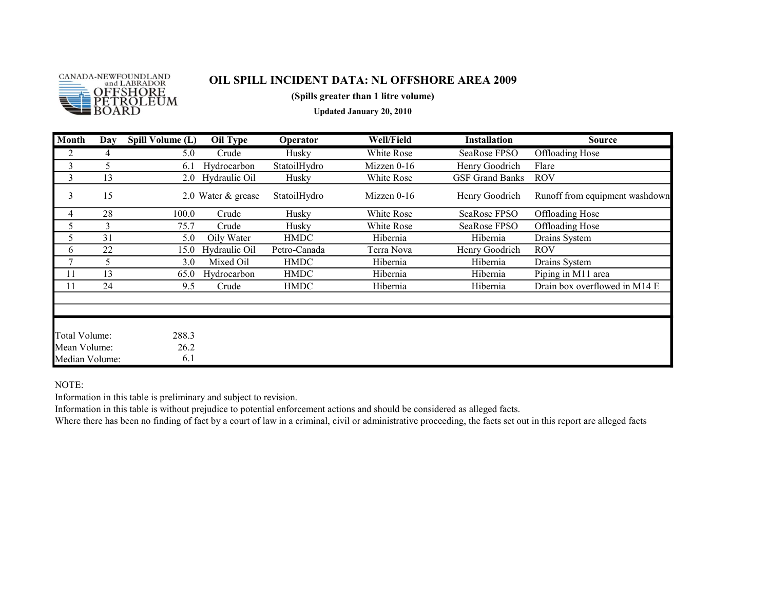

(Spills greater than 1 litre volume)

Updated January 20, 2010

| Month                          | Day | Spill Volume (L) | Oil Type           | Operator     | <b>Well/Field</b> | <b>Installation</b>    | <b>Source</b>                  |
|--------------------------------|-----|------------------|--------------------|--------------|-------------------|------------------------|--------------------------------|
| 2                              | 4   | 5.0              | Crude              | Husky        | White Rose        | SeaRose FPSO           | <b>Offloading Hose</b>         |
| 3                              | 5   | 6.1              | Hydrocarbon        | StatoilHydro | Mizzen $0-16$     | Henry Goodrich         | Flare                          |
| 3                              | 13  |                  | 2.0 Hydraulic Oil  | Husky        | White Rose        | <b>GSF Grand Banks</b> | <b>ROV</b>                     |
| 3                              | 15  |                  | 2.0 Water & grease | StatoilHydro | Mizzen $0-16$     | Henry Goodrich         | Runoff from equipment washdown |
| 4                              | 28  | 100.0            | Crude              | Husky        | White Rose        | SeaRose FPSO           | Offloading Hose                |
| 5                              | 3   | 75.7             | Crude              | Husky        | White Rose        | SeaRose FPSO           | Offloading Hose                |
| 5                              | 31  | 5.0              | Oily Water         | <b>HMDC</b>  | Hibernia          | Hibernia               | Drains System                  |
| 6                              | 22  | 15.0             | Hydraulic Oil      | Petro-Canada | Terra Nova        | Henry Goodrich         | ROV                            |
| 7                              | 5   | 3.0              | Mixed Oil          | <b>HMDC</b>  | Hibernia          | Hibernia               | Drains System                  |
| 11                             | 13  | 65.0             | Hydrocarbon        | <b>HMDC</b>  | Hibernia          | Hibernia               | Piping in M11 area             |
| 11                             | 24  | 9.5              | Crude              | <b>HMDC</b>  | Hibernia          | Hibernia               | Drain box overflowed in M14 E  |
|                                |     |                  |                    |              |                   |                        |                                |
|                                |     |                  |                    |              |                   |                        |                                |
| Total Volume:                  |     | 288.3            |                    |              |                   |                        |                                |
| Mean Volume:<br>Median Volume: |     | 26.2<br>6.1      |                    |              |                   |                        |                                |

NOTE:

Information in this table is preliminary and subject to revision.

Information in this table is without prejudice to potential enforcement actions and should be considered as alleged facts.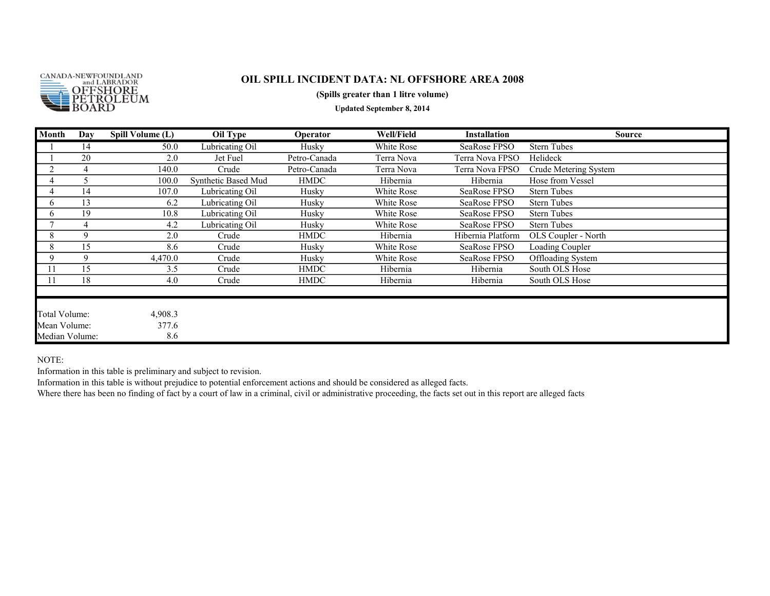

#### (Spills greater than 1 litre volume)

Updated September 8, 2014

| Month          | Day         | Spill Volume (L) | Oil Type            | Operator     | <b>Well/Field</b> | <b>Installation</b> | <b>Source</b>         |
|----------------|-------------|------------------|---------------------|--------------|-------------------|---------------------|-----------------------|
|                | 14          | 50.0             | Lubricating Oil     | Husky        | White Rose        | SeaRose FPSO        | <b>Stern Tubes</b>    |
|                | 20          | 2.0              | Jet Fuel            | Petro-Canada | Terra Nova        | Terra Nova FPSO     | Helideck              |
| $\overline{2}$ | 4           | 140.0            | Crude               | Petro-Canada | Terra Nova        | Terra Nova FPSO     | Crude Metering System |
|                |             | 100.0            | Synthetic Based Mud | <b>HMDC</b>  | Hibernia          | Hibernia            | Hose from Vessel      |
|                | 14          | 107.0            | Lubricating Oil     | Husky        | White Rose        | SeaRose FPSO        | <b>Stern Tubes</b>    |
| 6              | 13          | 6.2              | Lubricating Oil     | Husky        | White Rose        | SeaRose FPSO        | <b>Stern Tubes</b>    |
| 6              | 19          | 10.8             | Lubricating Oil     | Husky        | White Rose        | SeaRose FPSO        | <b>Stern Tubes</b>    |
|                |             | 4.2              | Lubricating Oil     | Husky        | White Rose        | SeaRose FPSO        | <b>Stern Tubes</b>    |
| 8              | $\mathbf Q$ | 2.0              | Crude               | <b>HMDC</b>  | Hibernia          | Hibernia Platform   | OLS Coupler - North   |
| 8              | 15          | 8.6              | Crude               | Husky        | White Rose        | SeaRose FPSO        | Loading Coupler       |
| 9              | 9           | 4,470.0          | Crude               | Husky        | White Rose        | SeaRose FPSO        | Offloading System     |
| 11             | 15          | 3.5              | Crude               | <b>HMDC</b>  | Hibernia          | Hibernia            | South OLS Hose        |
| 11             | 18          | 4.0              | Crude               | <b>HMDC</b>  | Hibernia          | Hibernia            | South OLS Hose        |
|                |             |                  |                     |              |                   |                     |                       |
| Total Volume:  |             | 4,908.3          |                     |              |                   |                     |                       |
| Mean Volume:   |             | 377.6            |                     |              |                   |                     |                       |
| Median Volume: |             | 8.6              |                     |              |                   |                     |                       |

NOTE:

Information in this table is preliminary and subject to revision.

Information in this table is without prejudice to potential enforcement actions and should be considered as alleged facts.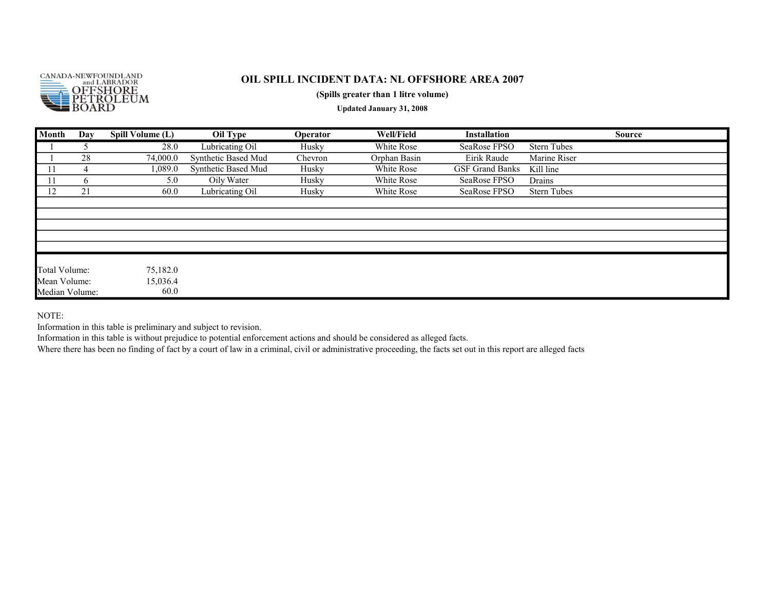

#### (Spills greater than 1 litre volume)

Updated January 31, 2008

| Month          | Day          | Spill Volume (L) | Oil Type            | Operator | <b>Well/Field</b> | <b>Installation</b>    | <b>Source</b>      |
|----------------|--------------|------------------|---------------------|----------|-------------------|------------------------|--------------------|
|                |              | 28.0             | Lubricating Oil     | Husky    | White Rose        | SeaRose FPSO           | <b>Stern Tubes</b> |
|                | 28           | 74,000.0         | Synthetic Based Mud | Chevron  | Orphan Basin      | Eirik Raude            | Marine Riser       |
| 11             | 4            | 1,089.0          | Synthetic Based Mud | Husky    | White Rose        | <b>GSF Grand Banks</b> | Kill line          |
| 11             | <sub>0</sub> | 5.0              | Oily Water          | Husky    | White Rose        | SeaRose FPSO           | Drains             |
| 12             | 21           | 60.0             | Lubricating Oil     | Husky    | White Rose        | SeaRose FPSO           | <b>Stern Tubes</b> |
|                |              |                  |                     |          |                   |                        |                    |
|                |              |                  |                     |          |                   |                        |                    |
|                |              |                  |                     |          |                   |                        |                    |
|                |              |                  |                     |          |                   |                        |                    |
|                |              |                  |                     |          |                   |                        |                    |
|                |              |                  |                     |          |                   |                        |                    |
| Total Volume:  |              | 75,182.0         |                     |          |                   |                        |                    |
| Mean Volume:   |              | 15,036.4         |                     |          |                   |                        |                    |
| Median Volume: |              | 60.0             |                     |          |                   |                        |                    |

NOTE:

Information in this table is preliminary and subject to revision.

Information in this table is without prejudice to potential enforcement actions and should be considered as alleged facts.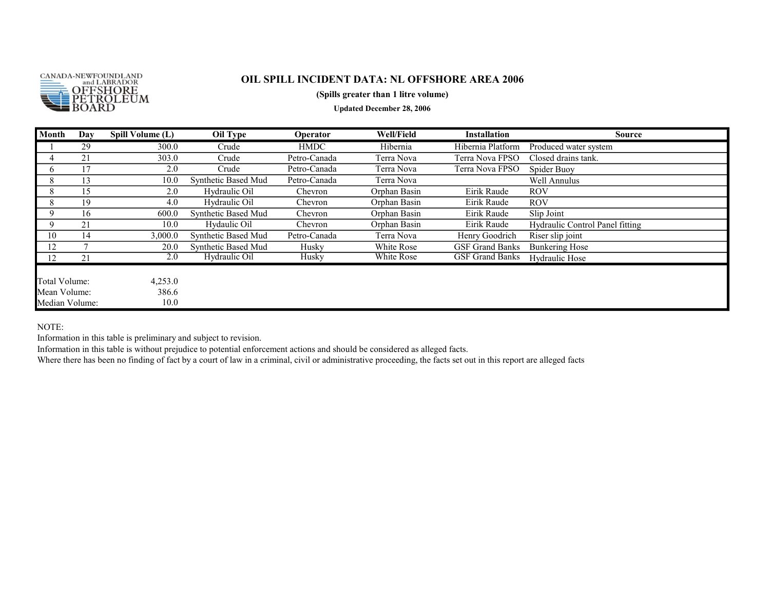

#### (Spills greater than 1 litre volume)

Updated December 28, 2006

| Month          | Day | Spill Volume (L) | Oil Type            | Operator     | <b>Well/Field</b> | <b>Installation</b>    | <b>Source</b>                   |
|----------------|-----|------------------|---------------------|--------------|-------------------|------------------------|---------------------------------|
|                | 29  | 300.0            | Crude               | <b>HMDC</b>  | Hibernia          | Hibernia Platform      | Produced water system           |
|                | 21  | 303.0            | Crude               | Petro-Canada | Terra Nova        | Terra Nova FPSO        | Closed drains tank.             |
| O.             |     | 2.0              | Crude               | Petro-Canada | Terra Nova        | Terra Nova FPSO        | Spider Buoy                     |
| 8              | 13  | 10.0             | Synthetic Based Mud | Petro-Canada | Terra Nova        |                        | Well Annulus                    |
| 8              | 15  | 2.0              | Hydraulic Oil       | Chevron      | Orphan Basin      | Eirik Raude            | <b>ROV</b>                      |
| 8              | 19  | 4.0              | Hydraulic Oil       | Chevron      | Orphan Basin      | Eirik Raude            | <b>ROV</b>                      |
| 9              | 16  | 600.0            | Synthetic Based Mud | Chevron      | Orphan Basin      | Eirik Raude            | Slip Joint                      |
| 9              | 21  | 10.0             | Hydaulic Oil        | Chevron      | Orphan Basin      | Eirik Raude            | Hydraulic Control Panel fitting |
| 10             | 14  | 3,000.0          | Synthetic Based Mud | Petro-Canada | Terra Nova        | Henry Goodrich         | Riser slip joint                |
| 12             |     | 20.0             | Synthetic Based Mud | Husky        | White Rose        | <b>GSF Grand Banks</b> | <b>Bunkering Hose</b>           |
| 12             | 21  | 2.0              | Hydraulic Oil       | Husky        | White Rose        | <b>GSF Grand Banks</b> | Hydraulic Hose                  |
|                |     |                  |                     |              |                   |                        |                                 |
| Total Volume:  |     | 4,253.0          |                     |              |                   |                        |                                 |
| Mean Volume:   |     | 386.6            |                     |              |                   |                        |                                 |
| Median Volume: |     | 10.0             |                     |              |                   |                        |                                 |

NOTE:

Information in this table is preliminary and subject to revision.

Information in this table is without prejudice to potential enforcement actions and should be considered as alleged facts.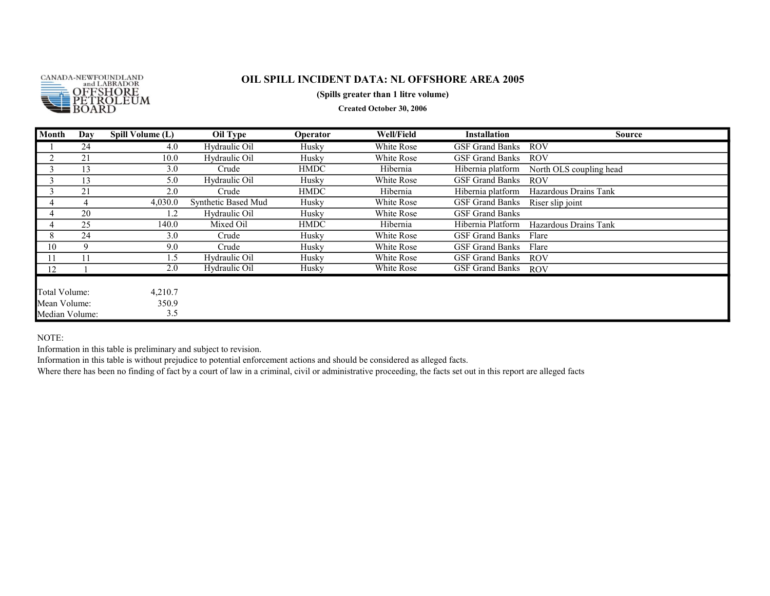

#### (Spills greater than 1 litre volume)

Created October 30, 2006

| Month          | Day | Spill Volume (L) | Oil Type            | Operator    | Well/Field | <b>Installation</b>    | Source                  |
|----------------|-----|------------------|---------------------|-------------|------------|------------------------|-------------------------|
|                | 24  | 4.0              | Hydraulic Oil       | Husky       | White Rose | <b>GSF Grand Banks</b> | <b>ROV</b>              |
|                | 21  | 10.0             | Hydraulic Oil       | Husky       | White Rose | <b>GSF Grand Banks</b> | <b>ROV</b>              |
|                | 13  | 3.0              | Crude               | <b>HMDC</b> | Hibernia   | Hibernia platform      | North OLS coupling head |
|                | 13  | 5.0              | Hydraulic Oil       | Husky       | White Rose | <b>GSF Grand Banks</b> | <b>ROV</b>              |
| Ĵ              | 21  | 2.0              | Crude               | <b>HMDC</b> | Hibernia   | Hibernia platform      | Hazardous Drains Tank   |
|                |     | 4,030.0          | Synthetic Based Mud | Husky       | White Rose | GSF Grand Banks        | Riser slip joint        |
|                | 20  | 1.2              | Hydraulic Oil       | Husky       | White Rose | <b>GSF Grand Banks</b> |                         |
| 4              | 25  | 140.0            | Mixed Oil           | HMDC        | Hibernia   | Hibernia Platform      | Hazardous Drains Tank   |
| 8              | 24  | 3.0              | Crude               | Husky       | White Rose | <b>GSF Grand Banks</b> | Flare                   |
| 10             | 9   | 9.0              | Crude               | Husky       | White Rose | <b>GSF Grand Banks</b> | Flare                   |
| 11             |     | $\mathbf{.5}$    | Hydraulic Oil       | Husky       | White Rose | <b>GSF Grand Banks</b> | <b>ROV</b>              |
| 12             |     | 2.0              | Hydraulic Oil       | Husky       | White Rose | <b>GSF Grand Banks</b> | <b>ROV</b>              |
|                |     |                  |                     |             |            |                        |                         |
| Total Volume:  |     | 4,210.7          |                     |             |            |                        |                         |
| Mean Volume:   |     | 350.9            |                     |             |            |                        |                         |
| Median Volume: |     | 3.5              |                     |             |            |                        |                         |

#### NOTE:

Information in this table is preliminary and subject to revision.

Information in this table is without prejudice to potential enforcement actions and should be considered as alleged facts.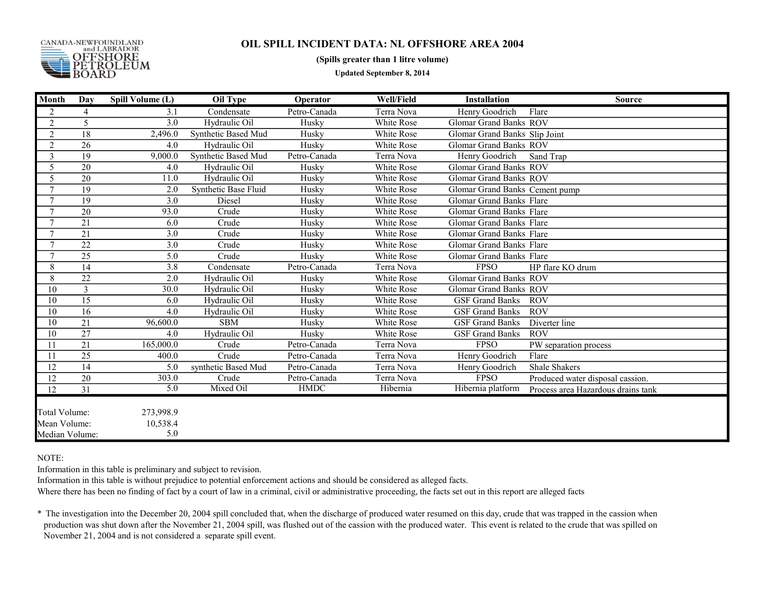

#### (Spills greater than 1 litre volume)

Updated September 8, 2014

| <b>Month</b>                                    | Day             | Spill Volume (L)             | <b>Oil Type</b>      | Operator     | <b>Well/Field</b> | <b>Installation</b>             | <b>Source</b>                      |
|-------------------------------------------------|-----------------|------------------------------|----------------------|--------------|-------------------|---------------------------------|------------------------------------|
| 2                                               | 4               | 3.1                          | Condensate           | Petro-Canada | Terra Nova        | Henry Goodrich                  | Flare                              |
| $\overline{2}$                                  | 5               | 3.0                          | Hydraulic Oil        | Husky        | White Rose        | Glomar Grand Banks ROV          |                                    |
| 2                                               | 18              | 2,496.0                      | Synthetic Based Mud  | Husky        | White Rose        | Glomar Grand Banks Slip Joint   |                                    |
| $\overline{2}$                                  | 26              | 4.0                          | Hydraulic Oil        | Husky        | White Rose        | Glomar Grand Banks ROV          |                                    |
| 3                                               | 19              | 9,000.0                      | Synthetic Based Mud  | Petro-Canada | Terra Nova        | Henry Goodrich                  | Sand Trap                          |
| 5                                               | 20              | 4.0                          | Hydraulic Oil        | Husky        | White Rose        | <b>Glomar Grand Banks ROV</b>   |                                    |
| 5                                               | 20              | 11.0                         | Hydraulic Oil        | Husky        | White Rose        | Glomar Grand Banks ROV          |                                    |
| $\mathcal{I}$                                   | 19              | 2.0                          | Synthetic Base Fluid | Husky        | White Rose        | Glomar Grand Banks Cement pump  |                                    |
| $\tau$                                          | 19              | 3.0                          | Diesel               | Husky        | White Rose        | Glomar Grand Banks Flare        |                                    |
| $\tau$                                          | 20              | 93.0                         | Crude                | Husky        | White Rose        | <b>Glomar Grand Banks Flare</b> |                                    |
|                                                 | 21              | 6.0                          | Crude                | Husky        | White Rose        | <b>Glomar Grand Banks Flare</b> |                                    |
|                                                 | 21              | 3.0                          | Crude                | Husky        | White Rose        | Glomar Grand Banks Flare        |                                    |
| $\tau$                                          | 22              | 3.0                          | Crude                | Husky        | White Rose        | Glomar Grand Banks Flare        |                                    |
| $\tau$                                          | $\overline{25}$ | 5.0                          | Crude                | Husky        | White Rose        | <b>Glomar Grand Banks Flare</b> |                                    |
| 8                                               | 14              | 3.8                          | Condensate           | Petro-Canada | Terra Nova        | <b>FPSO</b>                     | HP flare KO drum                   |
| 8                                               | $\overline{22}$ | 2.0                          | Hydraulic Oil        | Husky        | White Rose        | <b>Glomar Grand Banks ROV</b>   |                                    |
| $\overline{10}$                                 | 3               | 30.0                         | Hydraulic Oil        | Husky        | White Rose        | Glomar Grand Banks ROV          |                                    |
| 10                                              | 15              | 6.0                          | Hydraulic Oil        | Husky        | White Rose        | <b>GSF Grand Banks</b>          | <b>ROV</b>                         |
| 10                                              | 16              | 4.0                          | Hydraulic Oil        | Husky        | White Rose        | <b>GSF Grand Banks</b>          | <b>ROV</b>                         |
| 10                                              | 21              | 96,600.0                     | <b>SBM</b>           | Husky        | White Rose        | <b>GSF Grand Banks</b>          | Diverter line                      |
| 10                                              | 27              | 4.0                          | Hydraulic Oil        | Husky        | White Rose        | <b>GSF Grand Banks</b>          | <b>ROV</b>                         |
|                                                 | 21              | 165,000.0                    | Crude                | Petro-Canada | Terra Nova        | <b>FPSO</b>                     | PW separation process              |
| 11                                              | $\overline{25}$ | 400.0                        | Crude                | Petro-Canada | Terra Nova        | Henry Goodrich                  | Flare                              |
| 12                                              | 14              | 5.0                          | synthetic Based Mud  | Petro-Canada | Terra Nova        | Henry Goodrich                  | <b>Shale Shakers</b>               |
| 12                                              | 20              | 303.0                        | Crude                | Petro-Canada | Terra Nova        | <b>FPSO</b>                     | Produced water disposal cassion.   |
| 12                                              | 31              | 5.0                          | Mixed Oil            | <b>HMDC</b>  | Hibernia          | Hibernia platform               | Process area Hazardous drains tank |
| Total Volume:<br>Mean Volume:<br>Median Volume: |                 | 273,998.9<br>10,538.4<br>5.0 |                      |              |                   |                                 |                                    |

NOTE:

Information in this table is preliminary and subject to revision.

Information in this table is without prejudice to potential enforcement actions and should be considered as alleged facts.

Where there has been no finding of fact by a court of law in a criminal, civil or administrative proceeding, the facts set out in this report are alleged facts

\* The investigation into the December 20, 2004 spill concluded that, when the discharge of produced water resumed on this day, crude that was trapped in the cassion when production was shut down after the November 21, 2004 spill, was flushed out of the cassion with the produced water. This event is related to the crude that was spilled on November 21, 2004 and is not considered a separate spill event.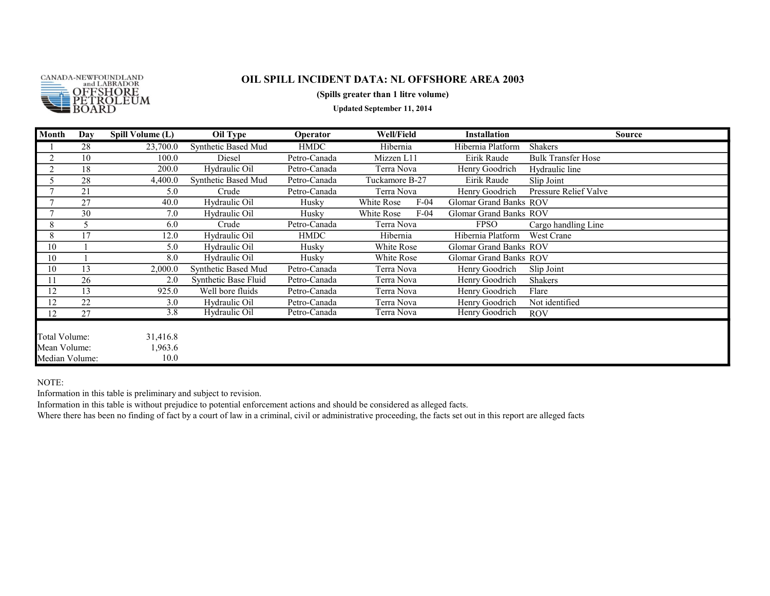

#### (Spills greater than 1 litre volume)

Updated September 11, 2014

| Month          | Day | Spill Volume (L) | Oil Type             | Operator     | <b>Well/Field</b>    | <b>Installation</b>           | Source                    |
|----------------|-----|------------------|----------------------|--------------|----------------------|-------------------------------|---------------------------|
|                | 28  | 23,700.0         | Synthetic Based Mud  | <b>HMDC</b>  | Hibernia             | Hibernia Platform             | <b>Shakers</b>            |
| 2              | 10  | 100.0            | Diesel               | Petro-Canada | Mizzen L11           | Eirik Raude                   | <b>Bulk Transfer Hose</b> |
| 2              | 18  | 200.0            | Hydraulic Oil        | Petro-Canada | Terra Nova           | Henry Goodrich                | Hydraulic line            |
| 5              | 28  | 4,400.0          | Synthetic Based Mud  | Petro-Canada | Tuckamore B-27       | Eirik Raude                   | Slip Joint                |
| $\mathbf{r}$   | 21  | 5.0              | Crude                | Petro-Canada | Terra Nova           | Henry Goodrich                | Pressure Relief Valve     |
|                | 27  | 40.0             | Hydraulic Oil        | Husky        | $F-04$<br>White Rose | Glomar Grand Banks ROV        |                           |
| 7              | 30  | 7.0              | Hydraulic Oil        | Husky        | $F-04$<br>White Rose | <b>Glomar Grand Banks ROV</b> |                           |
| 8              | 5   | 6.0              | Crude                | Petro-Canada | Terra Nova           | <b>FPSO</b>                   | Cargo handling Line       |
| 8              | 17  | 12.0             | Hydraulic Oil        | <b>HMDC</b>  | Hibernia             | Hibernia Platform             | West Crane                |
| 10             |     | 5.0              | Hydraulic Oil        | Huskv        | White Rose           | <b>Glomar Grand Banks ROV</b> |                           |
| 10             |     | 8.0              | Hydraulic Oil        | Huskv        | White Rose           | <b>Glomar Grand Banks ROV</b> |                           |
| 10             | 13  | 2,000.0          | Synthetic Based Mud  | Petro-Canada | Terra Nova           | Henry Goodrich                | Slip Joint                |
| 11             | 26  | 2.0              | Synthetic Base Fluid | Petro-Canada | Terra Nova           | Henry Goodrich                | Shakers                   |
| 12             | 13  | 925.0            | Well bore fluids     | Petro-Canada | Terra Nova           | Henry Goodrich                | Flare                     |
| 12             | 22  | 3.0              | Hydraulic Oil        | Petro-Canada | Terra Nova           | Henry Goodrich                | Not identified            |
| 12             | 27  | $\overline{3.8}$ | Hydraulic Oil        | Petro-Canada | Terra Nova           | Henry Goodrich                | <b>ROV</b>                |
|                |     |                  |                      |              |                      |                               |                           |
| Total Volume:  |     | 31,416.8         |                      |              |                      |                               |                           |
| Mean Volume:   |     | 1,963.6          |                      |              |                      |                               |                           |
| Median Volume: |     | 10.0             |                      |              |                      |                               |                           |

NOTE:

Information in this table is preliminary and subject to revision.

Information in this table is without prejudice to potential enforcement actions and should be considered as alleged facts.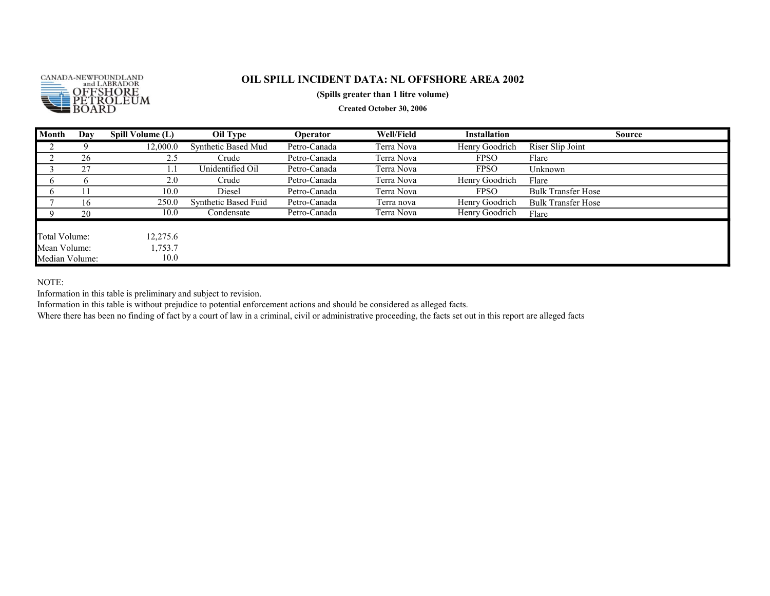

#### (Spills greater than 1 litre volume)

Created October 30, 2006

| Month          | Day | Spill Volume (L) | Oil Type             | <b>Operator</b> | Well/Field | <b>Installation</b> | <b>Source</b>             |
|----------------|-----|------------------|----------------------|-----------------|------------|---------------------|---------------------------|
|                |     | 12,000.0         | Synthetic Based Mud  | Petro-Canada    | Terra Nova | Henry Goodrich      | Riser Slip Joint          |
|                | 26  | 2.5              | Crude                | Petro-Canada    | Terra Nova | <b>FPSO</b>         | Flare                     |
|                | 27  | l . I            | Unidentified Oil     | Petro-Canada    | Terra Nova | <b>FPSO</b>         | Unknown                   |
|                | h   | 2.0              | Crude                | Petro-Canada    | Terra Nova | Henry Goodrich      | Flare                     |
|                |     | 10.0             | Diesel               | Petro-Canada    | Terra Nova | <b>FPSO</b>         | <b>Bulk Transfer Hose</b> |
|                | 16  | 250.0            | Synthetic Based Fuid | Petro-Canada    | Terra nova | Henry Goodrich      | <b>Bulk Transfer Hose</b> |
|                | 20  | 10.0             | Condensate           | Petro-Canada    | Terra Nova | Henry Goodrich      | Flare                     |
|                |     |                  |                      |                 |            |                     |                           |
| Total Volume:  |     | 12,275.6         |                      |                 |            |                     |                           |
| Mean Volume:   |     | 1,753.7          |                      |                 |            |                     |                           |
| Median Volume: |     | 10.0             |                      |                 |            |                     |                           |

NOTE:

Information in this table is preliminary and subject to revision.

Information in this table is without prejudice to potential enforcement actions and should be considered as alleged facts.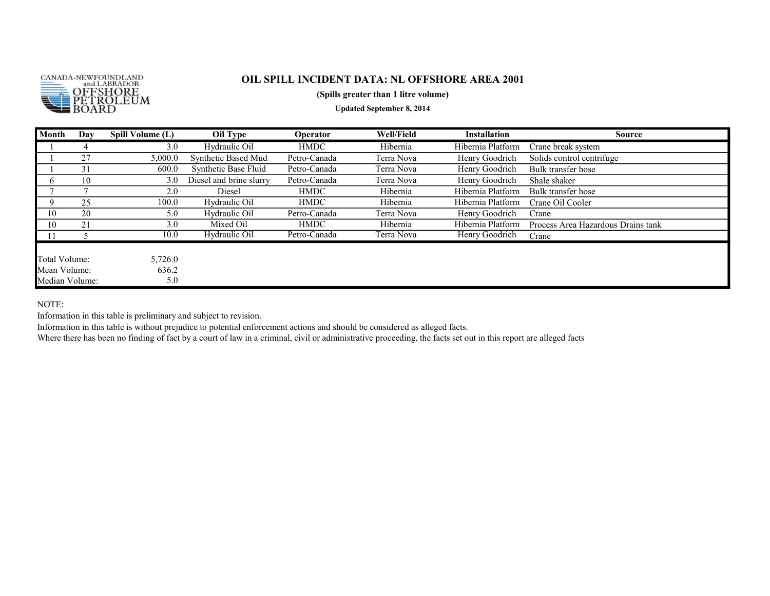

#### (Spills greater than 1 litre volume)

Updated September 8, 2014

| Month                                           | Day | Spill Volume (L)        | Oil Type                | Operator     | <b>Well/Field</b> | <b>Installation</b> | <b>Source</b>                      |
|-------------------------------------------------|-----|-------------------------|-------------------------|--------------|-------------------|---------------------|------------------------------------|
|                                                 | 4   | 3.0                     | Hydraulic Oil           | <b>HMDC</b>  | Hibernia          | Hibernia Platform   | Crane break system                 |
|                                                 | 27  | 5,000.0                 | Synthetic Based Mud     | Petro-Canada | Terra Nova        | Henry Goodrich      | Solids control centrifuge          |
|                                                 | 31  | 600.0                   | Synthetic Base Fluid    | Petro-Canada | Terra Nova        | Henry Goodrich      | Bulk transfer hose                 |
|                                                 | 10  | 3.0                     | Diesel and brine slurry | Petro-Canada | Terra Nova        | Henry Goodrich      | Shale shaker                       |
|                                                 |     | 2.0                     | Diesel                  | <b>HMDC</b>  | Hibernia          | Hibernia Platform   | Bulk transfer hose                 |
| a                                               | 25  | 100.0                   | Hydraulic Oil           | <b>HMDC</b>  | Hibernia          | Hibernia Platform   | Crane Oil Cooler                   |
| 10                                              | 20  | 5.0                     | Hydraulic Oil           | Petro-Canada | Terra Nova        | Henry Goodrich      | Crane                              |
| 10                                              | 21  | 3.0                     | Mixed Oil               | <b>HMDC</b>  | Hibernia          | Hibernia Platform   | Process Area Hazardous Drains tank |
|                                                 |     | 10.0                    | Hydraulic Oil           | Petro-Canada | Terra Nova        | Henry Goodrich      | Crane                              |
| Total Volume:<br>Mean Volume:<br>Median Volume: |     | 5,726.0<br>636.2<br>5.0 |                         |              |                   |                     |                                    |

NOTE:

Information in this table is preliminary and subject to revision.

Information in this table is without prejudice to potential enforcement actions and should be considered as alleged facts.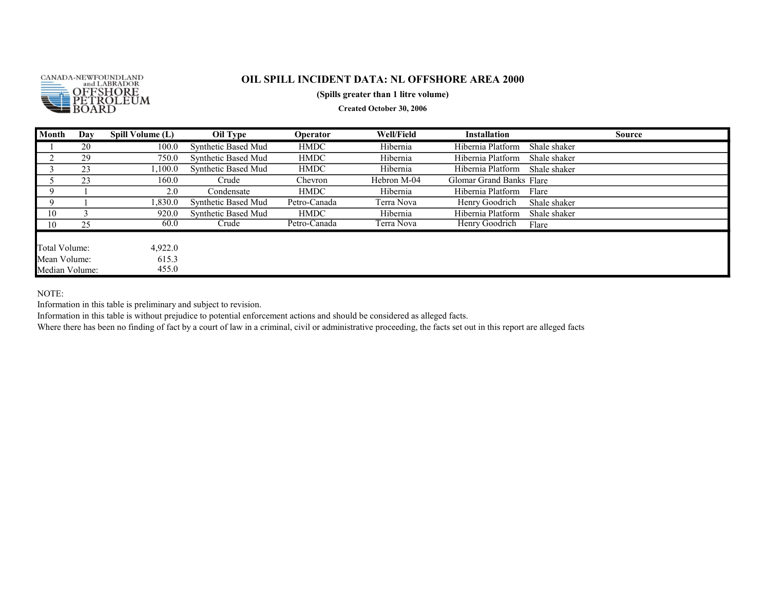

#### (Spills greater than 1 litre volume)

Created October 30, 2006

| Month          | Day | Spill Volume (L) | Oil Type            | Operator     | <b>Well/Field</b> | <b>Installation</b>      | Source       |
|----------------|-----|------------------|---------------------|--------------|-------------------|--------------------------|--------------|
|                | 20  | 100.0            | Synthetic Based Mud | <b>HMDC</b>  | Hibernia          | Hibernia Platform        | Shale shaker |
|                | 29  | 750.0            | Synthetic Based Mud | <b>HMDC</b>  | Hibernia          | Hibernia Platform        | Shale shaker |
|                | 23  | ,100.0           | Synthetic Based Mud | <b>HMDC</b>  | Hibernia          | Hibernia Platform        | Shale shaker |
|                | 23  | 160.0            | Crude               | Chevron      | Hebron M-04       | Glomar Grand Banks Flare |              |
|                |     | 2.0              | Condensate          | <b>HMDC</b>  | Hibernia          | Hibernia Platform        | Flare        |
|                |     | 1,830.0          | Synthetic Based Mud | Petro-Canada | Terra Nova        | Henry Goodrich           | Shale shaker |
| 10             |     | 920.0            | Synthetic Based Mud | <b>HMDC</b>  | Hibernia          | Hibernia Platform        | Shale shaker |
| 10             | 25  | 60.0             | Crude               | Petro-Canada | Terra Nova        | Henry Goodrich           | Flare        |
|                |     |                  |                     |              |                   |                          |              |
| Total Volume:  |     | 4,922.0          |                     |              |                   |                          |              |
| Mean Volume:   |     | 615.3            |                     |              |                   |                          |              |
| Median Volume: |     | 455.0            |                     |              |                   |                          |              |

NOTE:

Information in this table is preliminary and subject to revision.

Information in this table is without prejudice to potential enforcement actions and should be considered as alleged facts.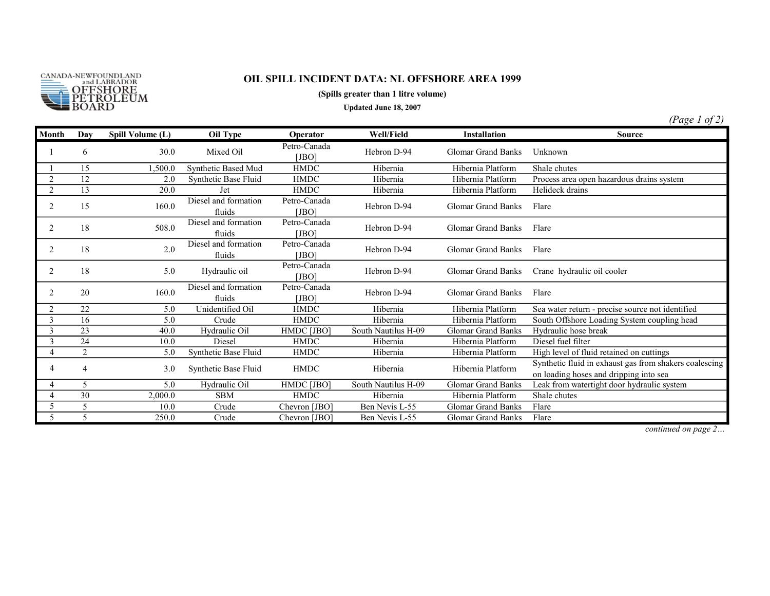

#### (Spills greater than 1 litre volume)

Updated June 18, 2007

(Page 1 of 2)

| Month          | Day            | Spill Volume (L) | Oil Type                       | <b>Operator</b>       | Well/Field          | <b>Installation</b>       | <b>Source</b>                                                                                    |
|----------------|----------------|------------------|--------------------------------|-----------------------|---------------------|---------------------------|--------------------------------------------------------------------------------------------------|
|                | 6              | 30.0             | Mixed Oil                      | Petro-Canada<br>[JBO] | Hebron D-94         | <b>Glomar Grand Banks</b> | Unknown                                                                                          |
|                | 15             | ,500.0           | Synthetic Based Mud            | <b>HMDC</b>           | Hibernia            | Hibernia Platform         | Shale chutes                                                                                     |
|                | 12             | 2.0              | Synthetic Base Fluid           | <b>HMDC</b>           | Hibernia            | Hibernia Platform         | Process area open hazardous drains system                                                        |
| 2              | 13             | 20.0             | Jet                            | <b>HMDC</b>           | Hibernia            | Hibernia Platform         | Helideck drains                                                                                  |
| $\overline{c}$ | 15             | 160.0            | Diesel and formation<br>fluids | Petro-Canada<br>[JBO] | Hebron D-94         | <b>Glomar Grand Banks</b> | Flare                                                                                            |
| 2              | 18             | 508.0            | Diesel and formation<br>fluids | Petro-Canada<br>[JBO] | Hebron D-94         | <b>Glomar Grand Banks</b> | Flare                                                                                            |
| $\overline{c}$ | 18             | 2.0              | Diesel and formation<br>fluids | Petro-Canada<br>[JBO] | Hebron D-94         | <b>Glomar Grand Banks</b> | Flare                                                                                            |
| 2              | 18             | 5.0              | Hydraulic oil                  | Petro-Canada<br>[JBO] | Hebron D-94         | <b>Glomar Grand Banks</b> | Crane hydraulic oil cooler                                                                       |
| 2              | 20             | 160.0            | Diesel and formation<br>fluids | Petro-Canada<br>[JBO] | Hebron D-94         | <b>Glomar Grand Banks</b> | Flare                                                                                            |
| 2              | 22             | 5.0              | Unidentified Oil               | <b>HMDC</b>           | Hibernia            | Hibernia Platform         | Sea water return - precise source not identified                                                 |
| 3              | 16             | 5.0              | Crude                          | <b>HMDC</b>           | Hibernia            | Hibernia Platform         | South Offshore Loading System coupling head                                                      |
| 3              | 23             | 40.0             | Hydraulic Oil                  | HMDC [JBO]            | South Nautilus H-09 | <b>Glomar Grand Banks</b> | Hydraulic hose break                                                                             |
| 3              | 24             | 10.0             | Diesel                         | <b>HMDC</b>           | Hibernia            | Hibernia Platform         | Diesel fuel filter                                                                               |
| 4              | $\overline{2}$ | 5.0              | Synthetic Base Fluid           | <b>HMDC</b>           | Hibernia            | Hibernia Platform         | High level of fluid retained on cuttings                                                         |
| 4              | 4              | 3.0              | Synthetic Base Fluid           | <b>HMDC</b>           | Hibernia            | Hibernia Platform         | Synthetic fluid in exhaust gas from shakers coalescing<br>on loading hoses and dripping into sea |
| 4              | $\overline{5}$ | 5.0              | Hydraulic Oil                  | HMDC [JBO]            | South Nautilus H-09 | <b>Glomar Grand Banks</b> | Leak from watertight door hydraulic system                                                       |
|                | 30             | 2,000.0          | <b>SBM</b>                     | <b>HMDC</b>           | Hibernia            | Hibernia Platform         | Shale chutes                                                                                     |
|                |                | 10.0             | Crude                          | Chevron [JBO]         | Ben Nevis L-55      | <b>Glomar Grand Banks</b> | Flare                                                                                            |
|                |                | 250.0            | Crude                          | Chevron [JBO]         | Ben Nevis L-55      | Glomar Grand Banks        | Flare                                                                                            |

continued on page 2…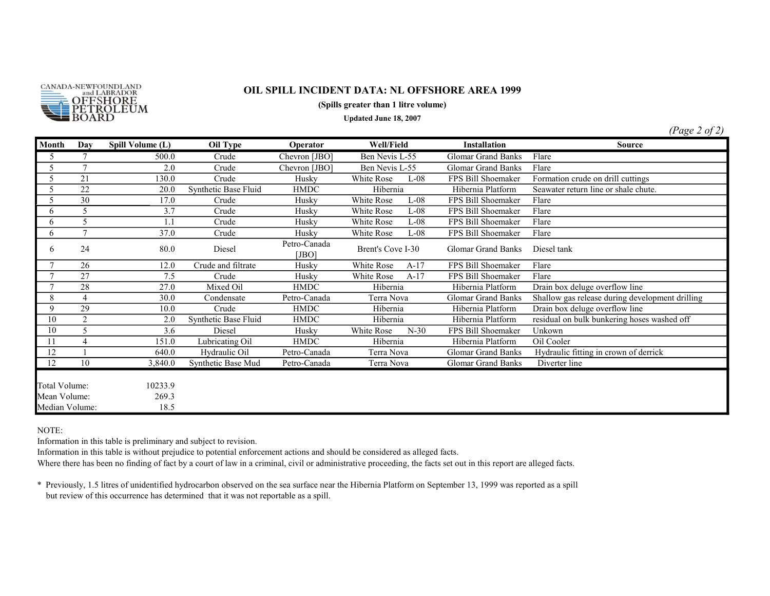

(Spills greater than 1 litre volume)

Updated June 18, 2007

(Page 2 of 2)

| Month                                           | Day             | Spill Volume (L)         | Oil Type             | Operator              | Well/Field           | <b>Installation</b>       | <b>Source</b>                                   |
|-------------------------------------------------|-----------------|--------------------------|----------------------|-----------------------|----------------------|---------------------------|-------------------------------------------------|
| 5                                               | 7               | 500.0                    | Crude                | Chevron [JBO]         | Ben Nevis L-55       | <b>Glomar Grand Banks</b> | Flare                                           |
| 5                                               | $\tau$          | 2.0                      | Crude                | Chevron [JBO]         | Ben Nevis L-55       | <b>Glomar Grand Banks</b> | Flare                                           |
| 5                                               | 21              | 130.0                    | Crude                | Husky                 | White Rose<br>$L-08$ | FPS Bill Shoemaker        | Formation crude on drill cuttings               |
| 5                                               | $\overline{22}$ | 20.0                     | Synthetic Base Fluid | <b>HMDC</b>           | Hibernia             | Hibernia Platform         | Seawater return line or shale chute.            |
| 5                                               | 30              | 17.0                     | Crude                | Husky                 | White Rose<br>$L-08$ | FPS Bill Shoemaker        | Flare                                           |
| 6                                               | 5               | 3.7                      | Crude                | Husky                 | White Rose<br>$L-08$ | FPS Bill Shoemaker        | Flare                                           |
| 6                                               | 5               | 1.1                      | Crude                | Husky                 | White Rose<br>$L-08$ | FPS Bill Shoemaker        | Flare                                           |
| 6                                               | $\overline{7}$  | 37.0                     | Crude                | Husky                 | White Rose<br>$L-08$ | FPS Bill Shoemaker        | Flare                                           |
| 6                                               | 24              | 80.0                     | Diesel               | Petro-Canada<br>[JBO] | Brent's Cove I-30    | <b>Glomar Grand Banks</b> | Diesel tank                                     |
| $\tau$                                          | 26              | 12.0                     | Crude and filtrate   | Husky                 | White Rose<br>$A-17$ | FPS Bill Shoemaker        | Flare                                           |
|                                                 | 27              | 7.5                      | Crude                | Husky                 | White Rose<br>$A-17$ | FPS Bill Shoemaker        | Flare                                           |
| $\tau$                                          | 28              | 27.0                     | Mixed Oil            | <b>HMDC</b>           | Hibernia             | Hibernia Platform         | Drain box deluge overflow line                  |
| 8                                               | 4               | 30.0                     | Condensate           | Petro-Canada          | Terra Nova           | <b>Glomar Grand Banks</b> | Shallow gas release during development drilling |
| 9                                               | 29              | 10.0                     | Crude                | <b>HMDC</b>           | Hibernia             | Hibernia Platform         | Drain box deluge overflow line                  |
| 10                                              | $\overline{c}$  | 2.0                      | Synthetic Base Fluid | <b>HMDC</b>           | Hibernia             | Hibernia Platform         | residual on bulk bunkering hoses washed off     |
| 10                                              | 5               | 3.6                      | Diesel               | Husky                 | White Rose<br>$N-30$ | FPS Bill Shoemaker        | Unkown                                          |
| 11                                              | 4               | 151.0                    | Lubricating Oil      | <b>HMDC</b>           | Hibernia             | Hibernia Platform         | Oil Cooler                                      |
| 12                                              |                 | 640.0                    | Hydraulic Oil        | Petro-Canada          | Terra Nova           | <b>Glomar Grand Banks</b> | Hydraulic fitting in crown of derrick           |
| 12                                              | 10              | 3,840.0                  | Synthetic Base Mud   | Petro-Canada          | Terra Nova           | <b>Glomar Grand Banks</b> | Diverter line                                   |
| Total Volume:<br>Mean Volume:<br>Median Volume: |                 | 10233.9<br>269.3<br>18.5 |                      |                       |                      |                           |                                                 |

NOTE:

Information in this table is preliminary and subject to revision.

Information in this table is without prejudice to potential enforcement actions and should be considered as alleged facts.

Where there has been no finding of fact by a court of law in a criminal, civil or administrative proceeding, the facts set out in this report are alleged facts.

\* Previously, 1.5 litres of unidentified hydrocarbon observed on the sea surface near the Hibernia Platform on September 13, 1999 was reported as a spill but review of this occurrence has determined that it was not reportable as a spill.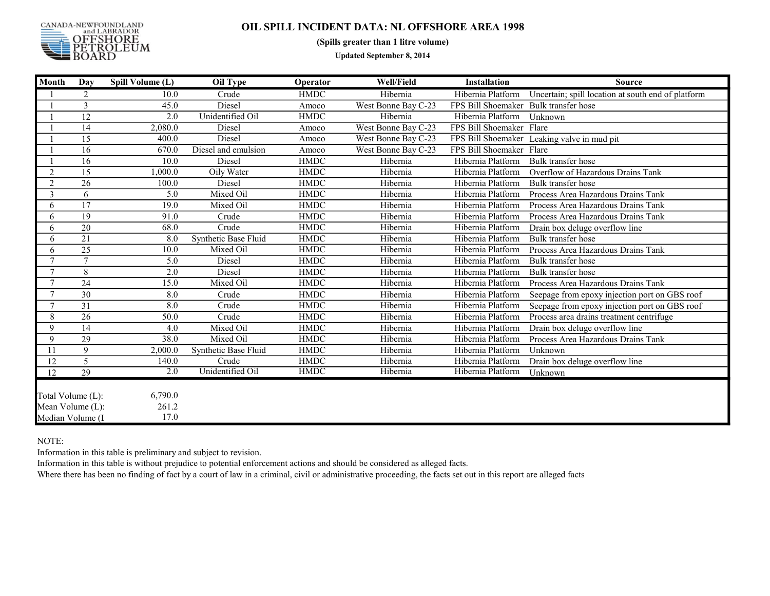

(Spills greater than 1 litre volume)

Updated September 8, 2014

| <b>Month</b>                                              | Day             | Spill Volume (L)         | Oil Type             | Operator    | <b>Well/Field</b>   | <b>Installation</b>                   | <b>Source</b>                                      |
|-----------------------------------------------------------|-----------------|--------------------------|----------------------|-------------|---------------------|---------------------------------------|----------------------------------------------------|
|                                                           | 2               | 10.0                     | Crude                | <b>HMDC</b> | Hibernia            | Hibernia Platform                     | Uncertain; spill location at south end of platform |
|                                                           | 3               | 45.0                     | Diesel               | Amoco       | West Bonne Bay C-23 | FPS Bill Shoemaker Bulk transfer hose |                                                    |
|                                                           | 12              | 2.0                      | Unidentified Oil     | <b>HMDC</b> | Hibernia            | Hibernia Platform                     | Unknown                                            |
|                                                           | 14              | 2,080.0                  | Diesel               | Amoco       | West Bonne Bay C-23 | FPS Bill Shoemaker Flare              |                                                    |
|                                                           | 15              | 400.0                    | Diesel               | Amoco       | West Bonne Bay C-23 |                                       | FPS Bill Shoemaker Leaking valve in mud pit        |
|                                                           | 16              | 670.0                    | Diesel and emulsion  | Amoco       | West Bonne Bay C-23 | FPS Bill Shoemaker Flare              |                                                    |
|                                                           | 16              | 10.0                     | Diesel               | <b>HMDC</b> | Hibernia            | Hibernia Platform                     | Bulk transfer hose                                 |
| $\overline{2}$                                            | 15              | 1,000.0                  | Oily Water           | <b>HMDC</b> | Hibernia            | Hibernia Platform                     | Overflow of Hazardous Drains Tank                  |
| 2                                                         | 26              | 100.0                    | Diesel               | <b>HMDC</b> | Hibernia            | Hibernia Platform                     | Bulk transfer hose                                 |
| 3                                                         | 6               | 5.0                      | Mixed Oil            | <b>HMDC</b> | Hibernia            | Hibernia Platform                     | Process Area Hazardous Drains Tank                 |
| 6                                                         | 17              | 19.0                     | Mixed Oil            | <b>HMDC</b> | Hibernia            | Hibernia Platform                     | Process Area Hazardous Drains Tank                 |
| 6                                                         | 19              | 91.0                     | Crude                | <b>HMDC</b> | Hibernia            | Hibernia Platform                     | Process Area Hazardous Drains Tank                 |
| 6                                                         | 20              | 68.0                     | Crude                | <b>HMDC</b> | Hibernia            | Hibernia Platform                     | Drain box deluge overflow line                     |
| 6                                                         | 21              | 8.0                      | Synthetic Base Fluid | <b>HMDC</b> | Hibernia            | Hibernia Platform                     | Bulk transfer hose                                 |
| 6                                                         | 25              | 10.0                     | Mixed Oil            | <b>HMDC</b> | Hibernia            | Hibernia Platform                     | Process Area Hazardous Drains Tank                 |
| $\tau$                                                    | $\overline{7}$  | 5.0                      | Diesel               | <b>HMDC</b> | Hibernia            | Hibernia Platform                     | Bulk transfer hose                                 |
|                                                           | 8               | 2.0                      | Diesel               | <b>HMDC</b> | Hibernia            | Hibernia Platform                     | Bulk transfer hose                                 |
| $\mathbf{r}$                                              | $\overline{24}$ | 15.0                     | Mixed Oil            | <b>HMDC</b> | Hibernia            | Hibernia Platform                     | Process Area Hazardous Drains Tank                 |
| $\tau$                                                    | 30              | 8.0                      | Crude                | <b>HMDC</b> | Hibernia            | Hibernia Platform                     | Seepage from epoxy injection port on GBS roof      |
| $\mathcal{I}$                                             | 31              | 8.0                      | Crude                | <b>HMDC</b> | Hibernia            | Hibernia Platform                     | Seepage from epoxy injection port on GBS roof      |
| 8                                                         | $\overline{26}$ | 50.0                     | Crude                | <b>HMDC</b> | Hibernia            | Hibernia Platform                     | Process area drains treatment centrifuge           |
| $\mathbf Q$                                               | 14              | 4.0                      | Mixed Oil            | <b>HMDC</b> | Hibernia            | Hibernia Platform                     | Drain box deluge overflow line                     |
| 9                                                         | 29              | 38.0                     | Mixed Oil            | <b>HMDC</b> | Hibernia            | Hibernia Platform                     | Process Area Hazardous Drains Tank                 |
| 11                                                        | 9               | 2,000.0                  | Synthetic Base Fluid | <b>HMDC</b> | Hibernia            | Hibernia Platform                     | Unknown                                            |
| 12                                                        | 5               | 140.0                    | Crude                | <b>HMDC</b> | Hibernia            | Hibernia Platform                     | Drain box deluge overflow line                     |
| 12                                                        | 29              | 2.0                      | Unidentified Oil     | <b>HMDC</b> | Hibernia            | Hibernia Platform                     | Unknown                                            |
| Total Volume (L):<br>Mean Volume (L):<br>Median Volume (I |                 | 6,790.0<br>261.2<br>17.0 |                      |             |                     |                                       |                                                    |

NOTE:

Information in this table is preliminary and subject to revision.

Information in this table is without prejudice to potential enforcement actions and should be considered as alleged facts.